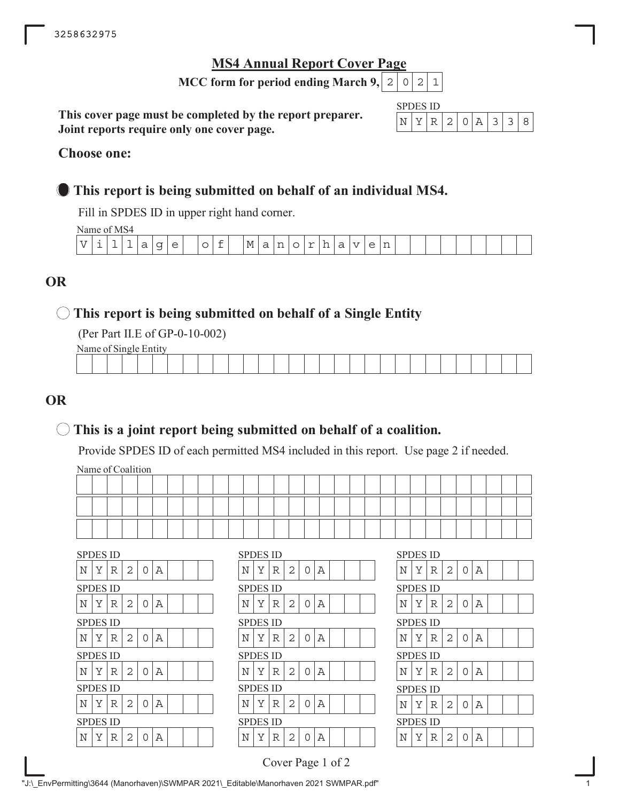# **MS4 Annual Report Cover Page**

**MCC form for period ending March 9,**  $\mid 2 \mid 0 \mid 2 \mid 1$ 

**This cover page must be completed by the report preparer. Joint reports require only one cover page.**

| SPD. | н, | S ID |    |  |  |  |
|------|----|------|----|--|--|--|
|      |    |      | 2. |  |  |  |

## **Choose one:**

# **This report is being submitted on behalf of an individual MS4.**

Fill in SPDES ID in upper right hand corner.

Name of MS4

|      |  | - - - - - - - - - - - - - - |        |                          |   |             |  |           |   |    |         |    |  |              |  |  |  |  |  |
|------|--|-----------------------------|--------|--------------------------|---|-------------|--|-----------|---|----|---------|----|--|--------------|--|--|--|--|--|
| $ -$ |  |                             | -<br>- | $\overline{\phantom{0}}$ | ∼ | $\check{ }$ |  | M<br>$ -$ | ∽ | -- | --<br>- | -- |  | $\sim$<br>-- |  |  |  |  |  |
|      |  |                             |        |                          |   |             |  |           |   |    |         |    |  |              |  |  |  |  |  |

# **OR**

# **This report is being submitted on behalf of a Single Entity**

(Per Part II.E of GP-0-10-002)

Name of Single Entity

| the contract of the contract of the contract of<br>the contract of the contract of the contract of |  |  |
|----------------------------------------------------------------------------------------------------|--|--|
|                                                                                                    |  |  |
|                                                                                                    |  |  |
|                                                                                                    |  |  |

# **OR**

# **This is a joint report being submitted on behalf of a coalition.**

Provide SPDES ID of each permitted MS4 included in this report. Use page 2 if needed.

Name of Coalition

| <b>SPDES ID</b> | <b>SPDES ID</b> | <b>SPDES ID</b> |
|-----------------|-----------------|-----------------|
| Y               | 2               | Y               |
| 2               | N               | R               |
| N               | Y               | Α               |
| R               | R               | N               |
| Α               | $\Omega$        | 2               |
| 0               | Α               | $\Omega$        |
| <b>SPDES ID</b> | <b>SPDES ID</b> | <b>SPDES ID</b> |
| Y               | $\overline{2}$  | Α               |
| N               | N               | N               |
| 2               | Y               | Υ               |
| A               | R               | R               |
| R               | Α               | 2               |
| 0               | $\Omega$        | 0               |
| <b>SPDES ID</b> | <b>SPDES ID</b> | <b>SPDES ID</b> |
| Y               | 2               | Y               |
| N               | N               | 2               |
| 2               | Υ               | Α               |
| Α               | R               | N               |
| R               | $\Omega$        | R               |
| 0               | А               | $\Omega$        |
| <b>SPDES ID</b> | <b>SPDES ID</b> | <b>SPDES ID</b> |
| N               | N               | Α               |
| Y               | 2               | Y               |
| 2               | Y               | 2               |
| Α               | R               | N               |
| R               | $\Omega$        | R               |
| 0               | Α               | $\Omega$        |
| <b>SPDES ID</b> | <b>SPDES ID</b> | <b>SPDES ID</b> |
| N               | 2               | Α               |
| Y               | N               | N               |
| 2               | Y               | Y               |
| R               | R               | 2               |
| Α               | $\Omega$        | R               |
| 0               | Α               | 0               |
| <b>SPDES ID</b> | <b>SPDES ID</b> | <b>SPDES ID</b> |
| $_{\rm N}$      | $\overline{2}$  | $\mathbb A$     |
| Y               | N               | N               |
| $\overline{2}$  | Υ               | Y               |
| A               | Α               | R               |
| R               | R               | 2               |
| Ω               | ∩               | Ω               |

|                 | SPDES ID |   |   |   |   |  |  |   | SPDES ID        |   |
|-----------------|----------|---|---|---|---|--|--|---|-----------------|---|
| Ν               | Y        | R | 2 | 0 | А |  |  | Ν | Υ               | R |
|                 | SPDES ID |   |   |   |   |  |  |   | SPDES ID        |   |
| Ν               | Y        | R | 2 | 0 | А |  |  | Ν | Y               | R |
|                 | SPDES ID |   |   |   |   |  |  |   | SPDES ID        |   |
| N               | Υ        | R | 2 | O | А |  |  | N | Υ               | R |
| <b>SPDES ID</b> |          |   |   |   |   |  |  |   | <b>SPDES ID</b> |   |
| N               | Y        | R | 2 | O | А |  |  | Ν | Y               | R |
|                 | SPDES ID |   |   |   |   |  |  |   | SPDES ID        |   |
| N               | Y        | R | 2 | 0 | А |  |  | N | Y               | R |
|                 | SPDES ID |   |   |   |   |  |  |   | SPDES ID        |   |
| Ν               | Y        | R | 2 | ∩ | А |  |  | Ν | Y               | R |
|                 |          |   |   |   |   |  |  |   |                 |   |

| SPDES ID |   |         |                |          |             |  |  |
|----------|---|---------|----------------|----------|-------------|--|--|
| N        | Υ | R       | 2              | 0        | Α           |  |  |
| SPDES ID |   |         |                |          |             |  |  |
| N        | Y | R       | 2              | 0        | $\mathbb A$ |  |  |
| SPDES ID |   |         |                |          |             |  |  |
| N        | Υ | R       | 2              | 0        | Α           |  |  |
| SPDES ID |   |         |                |          |             |  |  |
| N        | Y | $R$   2 |                | 0        | $\mathbb A$ |  |  |
| SPDES ID |   |         |                |          |             |  |  |
| N        | Y | R       | 2              | $\Omega$ | Α           |  |  |
| SPDES ID |   |         |                |          |             |  |  |
| N        | Y | R       | $\overline{2}$ | O        | A           |  |  |

Cover Page 1 of 2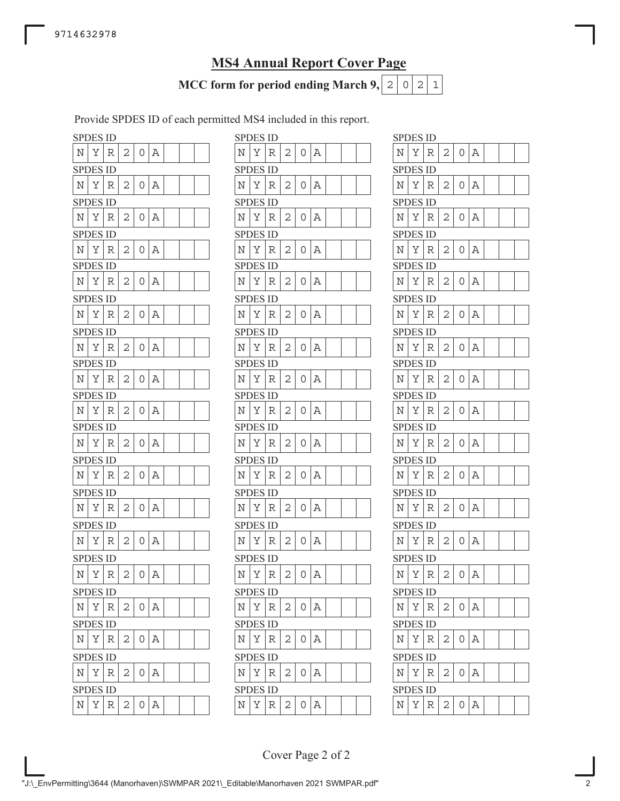# **MS4 Annual Report Cover Page**

**MCC form for period ending March 9,**  $\mid 2 \mid 0 \mid 2 \mid 1$ 

Provide SPDES ID of each permitted MS4 included in this report.

| <b>SPDES ID</b> |          |   |                |   |   |  |   | <b>SPDES ID</b> |   |
|-----------------|----------|---|----------------|---|---|--|---|-----------------|---|
| Ν               | Υ        | R | 2              | 0 | Α |  | N | Υ               | R |
| <b>SPDES ID</b> |          |   |                |   |   |  |   | <b>SPDES ID</b> |   |
| Ν               | Υ        | R | 2              | 0 | Α |  | N | Υ               | R |
| SPDES ID        |          |   |                |   |   |  |   | <b>SPDES ID</b> |   |
| N               | Υ        | R | 2              | 0 | Α |  | N | Υ               | R |
|                 | SPDES ID |   |                |   |   |  |   | SPDES ID        |   |
| Ν               | Υ        | R | 2              | 0 | Α |  | Ν | Υ               | R |
| <b>SPDES ID</b> |          |   |                |   |   |  |   | <b>SPDES ID</b> |   |
| N               | Υ        | R | 2              | 0 | Α |  | N | Υ               | R |
| SPDES ID        |          |   |                |   |   |  |   | <b>SPDES ID</b> |   |
| N               | Υ        | R | 2              | 0 | Α |  | N | Υ               | R |
| <b>SPDES ID</b> |          |   |                |   |   |  |   | <b>SPDES ID</b> |   |
| Ν               | Υ        | R | 2              | 0 | Α |  | N | Υ               | R |
| <b>SPDES ID</b> |          |   |                |   |   |  |   | <b>SPDES ID</b> |   |
| Ν               | Υ        | R | 2              | 0 | Α |  | N | Υ               | R |
| <b>SPDES ID</b> |          |   |                |   |   |  |   | <b>SPDES ID</b> |   |
| N               | Υ        | R | 2              | 0 | Α |  | N | Υ               | R |
| <b>SPDES ID</b> |          |   |                |   |   |  |   | <b>SPDES ID</b> |   |
| N               | Υ        | R | 2              | 0 | Α |  | N | Υ               | R |
| <b>SPDES ID</b> |          |   |                |   |   |  |   | <b>SPDES ID</b> |   |
| N               | Υ        | R | 2              | 0 | Α |  | Ν | Υ               | R |
| <b>SPDES ID</b> |          |   |                |   |   |  |   | <b>SPDES ID</b> |   |
| N               | Υ        | R | 2              | 0 | Α |  | N | Υ               | R |
|                 | SPDES ID |   |                |   |   |  |   | SPDES ID        |   |
| Ν               | Υ        | R | 2              | 0 | Α |  | Ν | Υ               | R |
| SPDES ID        |          |   |                |   |   |  |   | SPDES ID        |   |
| N               | Υ        | R | 2              | 0 | Α |  | N | Υ               | R |
| <b>SPDES ID</b> |          |   |                |   |   |  |   | <b>SPDES ID</b> |   |
| Ν               | Υ        | R | 2              | 0 | Α |  | Ν | Υ               | R |
| <b>SPDES ID</b> |          |   |                |   |   |  |   | <b>SPDES ID</b> |   |
| Ν               | Υ        | R | 2              | 0 | А |  | Ν | Υ               | R |
| <b>SPDES ID</b> |          |   |                |   |   |  |   | <b>SPDES ID</b> |   |
| N               | Υ        | R | 2              | 0 | Α |  | N | Υ               | R |
| <b>SPDES ID</b> |          |   |                |   |   |  |   | SPDES ID        |   |
| N               | Υ        | R | $\overline{c}$ | 0 | Α |  | N | Y               | R |
|                 |          |   |                |   |   |  |   |                 |   |

|   | SPDES ID        |             |   |        |     |  |  |             | <b>SPDES ID</b> |   |              |          |   |  |  | SPDES ID        |   |   |   |                |   |
|---|-----------------|-------------|---|--------|-----|--|--|-------------|-----------------|---|--------------|----------|---|--|--|-----------------|---|---|---|----------------|---|
| N | Υ               | R           | 2 | 0      | Α   |  |  | N           | Y               | R | 2            | 0        | Α |  |  | N               | Y | R | 2 | 0              | Α |
|   | <b>SPDES ID</b> |             |   |        |     |  |  |             | <b>SPDES ID</b> |   |              |          |   |  |  | <b>SPDES ID</b> |   |   |   |                |   |
| N | Υ               | R           | 2 | 0      | Α   |  |  | Ν           | Υ               | R | 2            | 0        | Α |  |  | Ν               | Υ | R | 2 | 0              | А |
|   | <b>SPDES ID</b> |             |   |        |     |  |  |             | <b>SPDES ID</b> |   |              |          |   |  |  | <b>SPDES ID</b> |   |   |   |                |   |
| N | Υ               | R           | 2 | 0      | Α   |  |  | Ν           | Υ               | R | 2            | 0        | Α |  |  | N               | Υ | R | 2 | 0              | Α |
|   | SPDES ID        |             |   |        |     |  |  |             | <b>SPDES ID</b> |   |              |          |   |  |  | <b>SPDES ID</b> |   |   |   |                |   |
| N | Υ               | R           | 2 | 0      | Α   |  |  | N           | Υ               | R | 2            | $\Omega$ | Α |  |  | N               | Y | R | 2 | 0              | А |
|   | <b>SPDES ID</b> |             |   |        |     |  |  |             | <b>SPDES ID</b> |   |              |          |   |  |  | <b>SPDES ID</b> |   |   |   |                |   |
| Ν | Υ               | R           | 2 | 0      | Α   |  |  | Ν           | Υ               | R | 2            | 0        | А |  |  | Ν               | Υ | R | 2 | 0              | А |
|   | SPDES ID        |             |   |        |     |  |  |             | <b>SPDES ID</b> |   |              |          |   |  |  | <b>SPDES ID</b> |   |   |   |                |   |
| Ν | Υ               | R           | 2 | 0      | Α   |  |  | Ν           | Υ               | R | 2            | 0        | Α |  |  | Ν               | Υ | R | 2 | 0              | Α |
|   | SPDES ID        |             |   |        |     |  |  |             | <b>SPDES ID</b> |   |              |          |   |  |  | <b>SPDES ID</b> |   |   |   |                |   |
| N | Υ               | R           | 2 | U      | Α   |  |  | N           | Υ               | R | 2            | 0        | Α |  |  | Ν               | Υ | R | 2 | $\Omega$       | А |
|   | <b>SPDES ID</b> |             |   |        |     |  |  |             | <b>SPDES ID</b> |   |              |          |   |  |  | <b>SPDES ID</b> |   |   |   |                |   |
| N | Υ               | R           | 2 | 0      | Α   |  |  | Ν           | Υ               | R | 2            | 0        | Α |  |  | N               | Υ | R | 2 | 0              | А |
|   | <b>SPDES ID</b> |             |   |        |     |  |  |             | <b>SPDES ID</b> |   |              |          |   |  |  | <b>SPDES ID</b> |   |   |   |                |   |
| N | Υ               | R           | 2 | 0      | Α   |  |  | N           | Υ               | R | 2            | 0        | Α |  |  | N               | Υ | R | 2 | $\Omega$       | А |
|   | <b>SPDES ID</b> |             |   |        |     |  |  |             | <b>SPDES ID</b> |   |              |          |   |  |  | <b>SPDES ID</b> |   |   |   |                |   |
| N | Υ               | R           | 2 | 0      | Α   |  |  | Ν           | Υ               | R | 2            | 0        | Α |  |  | Ν               | Υ | R | 2 | 0              | Α |
|   | <b>SPDES ID</b> |             |   |        |     |  |  |             | <b>SPDES ID</b> |   |              |          |   |  |  | <b>SPDES ID</b> |   |   |   |                |   |
| N | Υ               | R           | 2 | 0      | Α   |  |  | Ν           | Υ               | R | 2            | 0        | А |  |  | N               | Υ | R | 2 | 0              | А |
|   | SPDES ID        |             |   |        |     |  |  |             | <b>SPDES ID</b> |   |              |          |   |  |  | <b>SPDES ID</b> |   |   |   |                |   |
| N | Υ               | R           | 2 | 0      | Α   |  |  | Ν           | Υ               | R | 2            | O        | Α |  |  | Ν               | Υ | R | 2 | $\Omega$       | А |
|   | <b>SPDES ID</b> |             |   |        |     |  |  |             | <b>SPDES ID</b> |   |              |          |   |  |  | <b>SPDES ID</b> |   |   |   |                |   |
| Ν | Υ               | R           | 2 | 0      | Α   |  |  | N           | Υ               | R | 2            | 0        | Α |  |  | N               | Υ | R | 2 | 0              | А |
|   | <b>SPDES ID</b> |             |   |        |     |  |  |             | <b>SPDES ID</b> |   |              |          |   |  |  | <b>SPDES ID</b> |   |   |   |                |   |
| Ν | Y               | $\mathbb R$ | 2 | 0      | Α   |  |  | $\mathbf N$ | Υ               | R | $\mathbf{2}$ | 0        | Α |  |  | N               | Υ | R | 2 | 0              | А |
|   | <b>SPDES ID</b> |             |   |        |     |  |  |             | <b>SPDES ID</b> |   |              |          |   |  |  | <b>SPDES ID</b> |   |   |   |                |   |
| Ν | Υ               | R           | 2 |        | 0 A |  |  | Ν           | Υ               | R | 2            | 0        | A |  |  | N               | Υ | R | 2 | $\overline{O}$ | Α |
|   | <b>SPDES ID</b> |             |   |        |     |  |  |             | <b>SPDES ID</b> |   |              |          |   |  |  | <b>SPDES ID</b> |   |   |   |                |   |
| N | Y R             |             | 2 | 0      | Α   |  |  | Ν           | Υ               | R | 2            | 0        | Α |  |  | Ν               | Υ | R | 2 | O              | А |
|   | <b>SPDES ID</b> |             |   |        |     |  |  |             | <b>SPDES ID</b> |   |              |          |   |  |  | <b>SPDES ID</b> |   |   |   |                |   |
| Ν | Υ               | R           | 2 | $\cup$ | Α   |  |  | N           | Υ               | R | 2            | 0        | Α |  |  | N               | Υ | R | 2 | O              | Α |
|   | <b>SPDES ID</b> |             |   |        |     |  |  |             | <b>SPDES ID</b> |   |              |          |   |  |  | <b>SPDES ID</b> |   |   |   |                |   |
| Ν | Y               | R           | 2 | O      | А   |  |  | N           | Υ               | R | 2            | 0        | Α |  |  | N               | Υ | R | 2 | $\Omega$       | Α |
|   |                 |             |   |        |     |  |  |             |                 |   |              |          |   |  |  |                 |   |   |   |                |   |

|             | SPDES ID        |     |                |   |             |  |  |
|-------------|-----------------|-----|----------------|---|-------------|--|--|
| N           | Υ               | R   | 2              | 0 | Α           |  |  |
|             | SPDES ID        |     |                |   |             |  |  |
| Ν           | Υ               | R   | $\overline{c}$ | 0 | A           |  |  |
|             | <b>SPDES ID</b> |     |                |   |             |  |  |
| Ν           | Υ               | R   | 2              | 0 | Α           |  |  |
|             | SPDES ID        |     |                |   |             |  |  |
| N           | Υ               | R   | 2              | 0 | Α           |  |  |
|             | <b>SPDES ID</b> |     |                |   |             |  |  |
| N           | Υ               | R   | 2              | 0 | Α           |  |  |
|             | <b>SPDES ID</b> |     |                |   |             |  |  |
| Ν           | Υ               | R   | 2              | 0 | A           |  |  |
|             | SPDES ID        |     |                |   |             |  |  |
| N           | Υ               | R   | 2              | 0 | Α           |  |  |
|             | SPDES           | ID. |                |   |             |  |  |
| N           | Υ               | R   | $\overline{c}$ | 0 | Α           |  |  |
|             | SPDES ID        |     |                |   |             |  |  |
| $\mathbb N$ | Υ               | R   | 2              | 0 | Α           |  |  |
|             | SPDES           | ID  |                |   |             |  |  |
| N           | Υ               | R   | 2              | 0 | A           |  |  |
|             | SPDES ID        |     |                |   |             |  |  |
| N           | Υ               | R   | 2              | 0 | Α           |  |  |
|             | SPDES ID        |     |                |   |             |  |  |
| Ν           | Υ               | R   | 2              | 0 | Α           |  |  |
|             | <b>SPDES ID</b> |     |                |   |             |  |  |
| N           | Υ               | R   | 2              | 0 | Α           |  |  |
|             | SPDES ID        |     |                |   |             |  |  |
| N           | Υ               | R   | $\overline{c}$ | 0 | $\mathbb A$ |  |  |
|             | <b>SPDES ID</b> |     |                |   |             |  |  |
| Ν           | Υ               | R   | 2              | 0 | A           |  |  |
|             | SPDES ID        |     |                |   |             |  |  |
| N           | Y               | R   | 2              | 0 | Α           |  |  |
|             | <b>SPDES ID</b> |     |                |   |             |  |  |
| Ν           | Υ               | R   | 2              | 0 | A           |  |  |
|             | SPDES ID        |     |                |   |             |  |  |
| N           | Υ               | R   | 2              | 0 | Α           |  |  |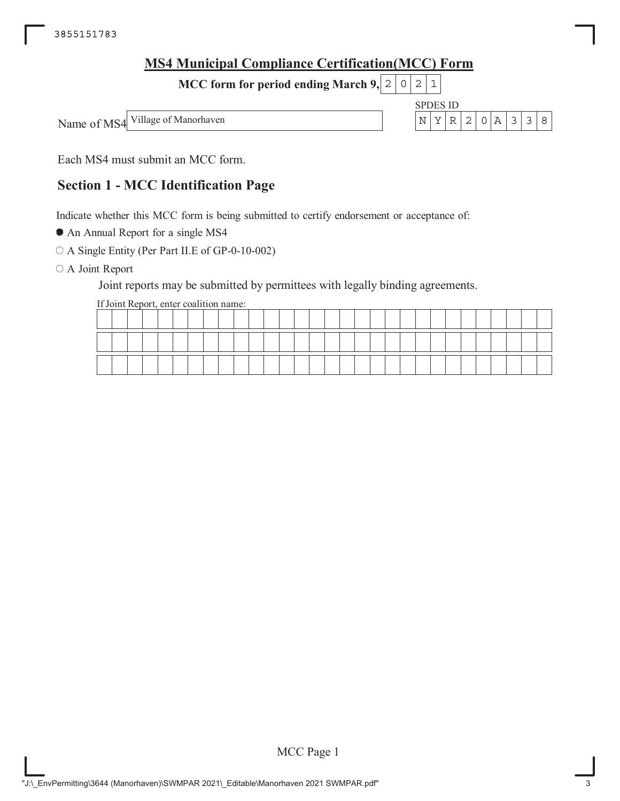| <b>MS4 Municipal Compliance Certification (MCC) Form</b> |  |          |  |           |  |
|----------------------------------------------------------|--|----------|--|-----------|--|
| MCC form for period ending March 9, $ 2 0 2 1 $          |  |          |  |           |  |
|                                                          |  | SPDES ID |  |           |  |
| Name of MS4 Village of Manorhaven                        |  |          |  | NYR20A338 |  |
|                                                          |  |          |  |           |  |

Each MS4 must submit an MCC form.

# **Section 1 - MCC Identification Page**

Indicate whether this MCC form is being submitted to certify endorsement or acceptance of:

An Annual Report for a single MS4

A Single Entity (Per Part II.E of GP-0-10-002)

O A Joint Report

Joint reports may be submitted by permittees with legally binding agreements.

If Joint Report, enter coalition name:

|  |  |  |  |  |  |  |  | ________ | __ |  | ______ |  |  | ________ |  |  |
|--|--|--|--|--|--|--|--|----------|----|--|--------|--|--|----------|--|--|
|  |  |  |  |  |  |  |  |          |    |  |        |  |  |          |  |  |

MCC Page 1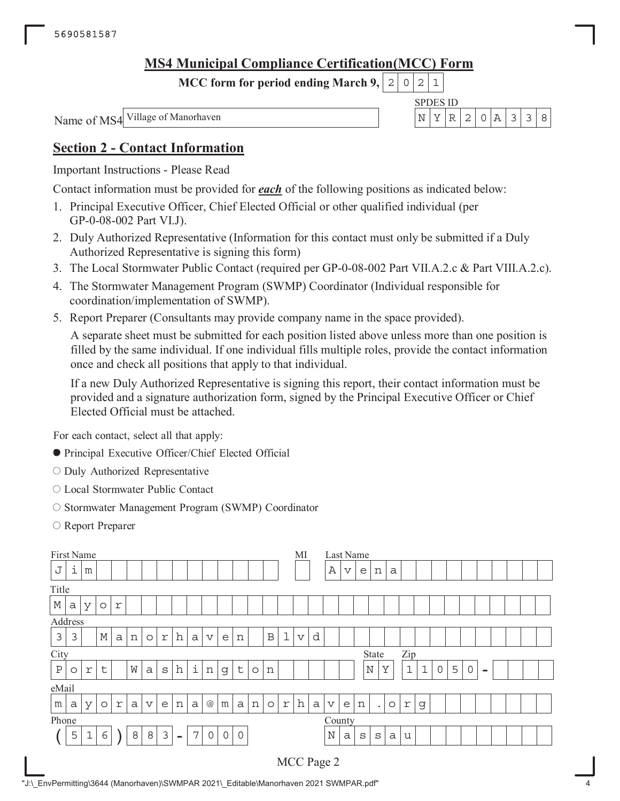# **MS4 Municipal Compliance Certification(MCC) Form**

**MCC form for period ending March 9,**  $0|2|1$ 

Name of MS4

SPDES ID Village of Manorhaven  $N \mid Y \mid R \mid 2 \mid 0 \mid A \mid 3 \mid 3 \mid 8$ 

# **Section 2 - Contact Information**

Important Instructions - Please Read

Contact information must be provided for *each* of the following positions as indicated below:

- 1. Principal Executive Officer, Chief Elected Official or other qualified individual (per GP-0-08-002 Part VI.J).
- 2. Duly Authorized Representative (Information for this contact must only be submitted if a Duly Authorized Representative is signing this form)
- 3. The Local Stormwater Public Contact (required per GP-0-08-002 Part VII.A.2.c & Part VIII.A.2.c).
- 4. The Stormwater Management Program (SWMP) Coordinator (Individual responsible for coordination/implementation of SWMP).
- 5. Report Preparer (Consultants may provide company name in the space provided).

A separate sheet must be submitted for each position listed above unless more than one position is filled by the same individual. If one individual fills multiple roles, provide the contact information once and check all positions that apply to that individual.

If a new Duly Authorized Representative is signing this report, their contact information must be provided and a signature authorization form, signed by the Principal Executive Officer or Chief Elected Official must be attached.

For each contact, select all that apply:

- Principal Executive Officer/Chief Elected Official
- O Duly Authorized Representative
- Local Stormwater Public Contact
- O Stormwater Management Program (SWMP) Coordinator
- Report Preparer

|              |         | First Name  |             |              |   |                 |                           |        |                |                 |              |              |         |              |             | MI                      |              | Last Name       |                         |             |           |         |             |             |   |   |             |          |  |  |
|--------------|---------|-------------|-------------|--------------|---|-----------------|---------------------------|--------|----------------|-----------------|--------------|--------------|---------|--------------|-------------|-------------------------|--------------|-----------------|-------------------------|-------------|-----------|---------|-------------|-------------|---|---|-------------|----------|--|--|
| J            | ı       | m           |             |              |   |                 |                           |        |                |                 |              |              |         |              |             |                         |              | Α               | $\overline{\mathsf{V}}$ | e           | n         | a       |             |             |   |   |             |          |  |  |
| Title        |         |             |             |              |   |                 |                           |        |                |                 |              |              |         |              |             |                         |              |                 |                         |             |           |         |             |             |   |   |             |          |  |  |
| М            | a       | У           | $\circ$     | r            |   |                 |                           |        |                |                 |              |              |         |              |             |                         |              |                 |                         |             |           |         |             |             |   |   |             |          |  |  |
|              | Address |             |             |              |   |                 |                           |        |                |                 |              |              |         |              |             |                         |              |                 |                         |             |           |         |             |             |   |   |             |          |  |  |
| 3            | 3       |             | $\mathbb M$ | $\mathsf{a}$ | n | $\circ$         | $\ensuremath{\mathbf{r}}$ | h      | a              | $\triangledown$ | e            | n            |         | $\, {\bf B}$ | $\mathbf 1$ | $\overline{\mathbf{V}}$ | d            |                 |                         |             |           |         |             |             |   |   |             |          |  |  |
| City         |         |             |             |              |   |                 |                           |        |                |                 |              |              |         |              |             |                         |              |                 |                         |             | State     |         | Zip         |             |   |   |             |          |  |  |
| $\, {\bf P}$ | O       | r           | t           |              | W | $\mathsf{a}$    | S                         | h      | i              | n               | $\mathsf{G}$ | $\sf t$      | $\circ$ | n            |             |                         |              |                 |                         | $\mathbb N$ |           | Y       | $\mathbf 1$ | $\mathbf 1$ | 0 | 5 | $\mathbf 0$ | $\equiv$ |  |  |
| eMail        |         |             |             |              |   |                 |                           |        |                |                 |              |              |         |              |             |                         |              |                 |                         |             |           |         |             |             |   |   |             |          |  |  |
| m            | a       | У           | $\circ$     | $\Upsilon$   | a | $\triangledown$ | e                         | n      | a              | @               | m            | $\mathsf{a}$ | n       | $\circ$      | $\Upsilon$  | h                       | $\mathsf{a}$ | $\triangledown$ | e                       | n           | $\bullet$ | $\circ$ | r           | g           |   |   |             |          |  |  |
| Phone        |         |             |             |              |   |                 |                           |        |                |                 |              |              |         |              |             |                         |              | County          |                         |             |           |         |             |             |   |   |             |          |  |  |
|              | 5       | $\mathbf 1$ | 6           |              | 8 | 8               | 3                         | $\sim$ | $\overline{7}$ | 0               | $\mathsf{O}$ | $\mathsf{O}$ |         |              |             |                         |              | $\mathbb N$     | a                       | $\rm s$     | S         | a       | u           |             |   |   |             |          |  |  |
|              |         |             |             |              |   |                 |                           |        |                |                 |              |              |         |              |             |                         |              | MCC Page 2      |                         |             |           |         |             |             |   |   |             |          |  |  |

"J:\\_EnvPermitting\3644 (Manorhaven)\SWMPAR 2021\\_Editable\Manorhaven 2021 SWMPAR.pdf" 4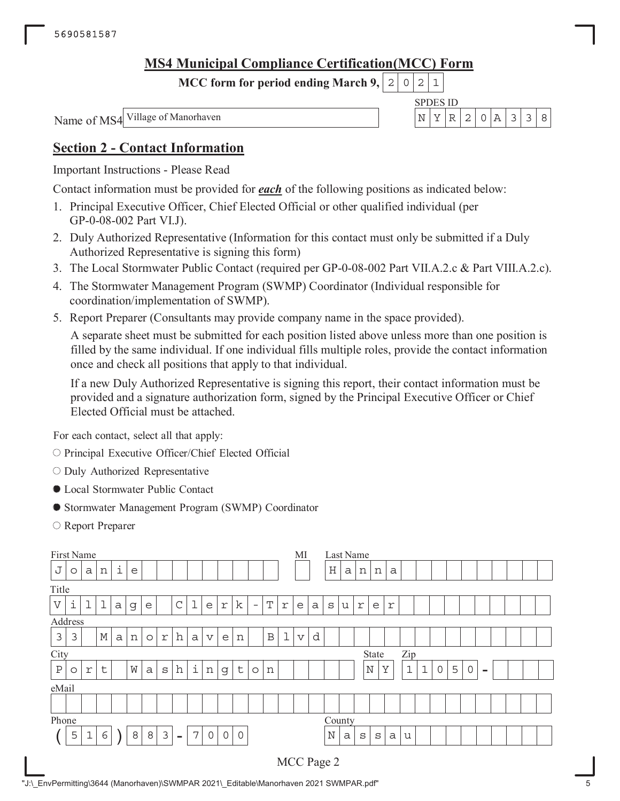# **MS4 Municipal Compliance Certification(MCC) Form**

**MCC form for period ending March 9,**  $0|2|1$ 

Name of MS4

SPDES ID Village of Manorhaven  $N \mid Y \mid R \mid 2 \mid 0 \mid A \mid 3 \mid 3 \mid 8$ 

# **Section 2 - Contact Information**

Important Instructions - Please Read

Contact information must be provided for *each* of the following positions as indicated below:

- 1. Principal Executive Officer, Chief Elected Official or other qualified individual (per GP-0-08-002 Part VI.J).
- 2. Duly Authorized Representative (Information for this contact must only be submitted if a Duly Authorized Representative is signing this form)
- 3. The Local Stormwater Public Contact (required per GP-0-08-002 Part VII.A.2.c & Part VIII.A.2.c).
- 4. The Stormwater Management Program (SWMP) Coordinator (Individual responsible for coordination/implementation of SWMP).
- 5. Report Preparer (Consultants may provide company name in the space provided).

A separate sheet must be submitted for each position listed above unless more than one position is filled by the same individual. If one individual fills multiple roles, provide the contact information once and check all positions that apply to that individual.

If a new Duly Authorized Representative is signing this report, their contact information must be provided and a signature authorization form, signed by the Principal Executive Officer or Chief Elected Official must be attached.

For each contact, select all that apply:

- O Principal Executive Officer/Chief Elected Official
- $\circ$  Duly Authorized Representative
- Local Stormwater Public Contact
- Stormwater Management Program (SWMP) Coordinator
- Report Preparer

| First Name                |         |             |             |              |   |         |            |             |   |                 |              |                |                          |              |             | MI              |   |             |   | Last Name    |             |   |             |              |   |   |             |          |  |  |
|---------------------------|---------|-------------|-------------|--------------|---|---------|------------|-------------|---|-----------------|--------------|----------------|--------------------------|--------------|-------------|-----------------|---|-------------|---|--------------|-------------|---|-------------|--------------|---|---|-------------|----------|--|--|
| J                         | $\circ$ | a           | n           | i            | e |         |            |             |   |                 |              |                |                          |              |             |                 |   | $\rm H$     | a | n            | n           | a |             |              |   |   |             |          |  |  |
| Title                     |         |             |             |              |   |         |            |             |   |                 |              |                |                          |              |             |                 |   |             |   |              |             |   |             |              |   |   |             |          |  |  |
| $\boldsymbol{\mathrm{V}}$ | i       | ı           | l           | $\mathsf{a}$ | g | e       |            | $\mathsf C$ | 1 | e               | r            | $\mathbf k$    | $\overline{\phantom{m}}$ | T            | r           | e               | a | S           | u | $\Upsilon$   | e           | r |             |              |   |   |             |          |  |  |
|                           | Address |             |             |              |   |         |            |             |   |                 |              |                |                          |              |             |                 |   |             |   |              |             |   |             |              |   |   |             |          |  |  |
| 3                         | 3       |             | $\mathbb M$ | $\mathsf{a}$ | n | $\circ$ | $\Upsilon$ | h           | a | $\triangledown$ | e            | n              |                          | $\, {\bf B}$ | $\mathbf 1$ | $\triangledown$ | d |             |   |              |             |   |             |              |   |   |             |          |  |  |
| City                      |         |             |             |              |   |         |            |             |   |                 |              |                |                          |              |             |                 |   |             |   |              | State       |   | Zip         |              |   |   |             |          |  |  |
| $\, {\bf P}$              | $\circ$ | r           | t           |              | W | a       | S          | h           | i | n               | g            | $\sf t$        | $\circ$                  | n            |             |                 |   |             |   |              | $\mathbb N$ | Y | $\mathbf 1$ | $\mathbf{1}$ | 0 | 5 | $\mathbf 0$ | $\equiv$ |  |  |
| eMail                     |         |             |             |              |   |         |            |             |   |                 |              |                |                          |              |             |                 |   |             |   |              |             |   |             |              |   |   |             |          |  |  |
|                           |         |             |             |              |   |         |            |             |   |                 |              |                |                          |              |             |                 |   |             |   |              |             |   |             |              |   |   |             |          |  |  |
| Phone                     |         |             |             |              |   |         |            |             |   |                 |              |                |                          |              |             |                 |   | County      |   |              |             |   |             |              |   |   |             |          |  |  |
|                           | 5       | $\mathbf 1$ | 6           |              | 8 | 8       | 3          | $\equiv$    | 7 | 0               | $\mathsf{O}$ | $\overline{0}$ |                          |              |             |                 |   | $\mathbb N$ | a | $\mathtt{s}$ | S           | a | u           |              |   |   |             |          |  |  |
|                           |         |             |             |              |   |         |            |             |   |                 |              |                |                          |              |             |                 |   | MCC Page 2  |   |              |             |   |             |              |   |   |             |          |  |  |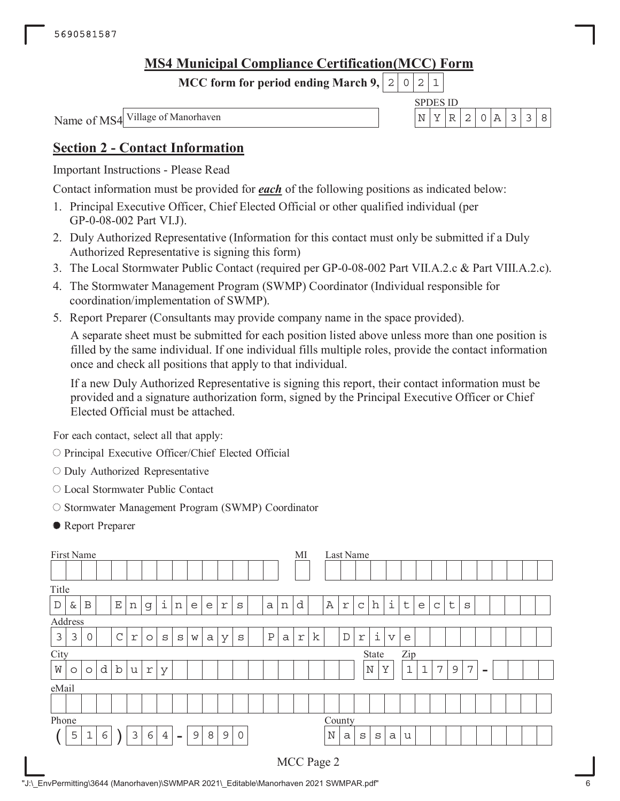# **MS4 Municipal Compliance Certification(MCC) Form**

**MCC form for period ending March 9,**  $0|2|1$ 

Name of MS4

SPDES ID Village of Manorhaven  $N \mid Y \mid R \mid 2 \mid 0 \mid A \mid 3 \mid 3 \mid 8$ 

# **Section 2 - Contact Information**

Important Instructions - Please Read

Contact information must be provided for *each* of the following positions as indicated below:

- 1. Principal Executive Officer, Chief Elected Official or other qualified individual (per GP-0-08-002 Part VI.J).
- 2. Duly Authorized Representative (Information for this contact must only be submitted if a Duly Authorized Representative is signing this form)
- 3. The Local Stormwater Public Contact (required per GP-0-08-002 Part VII.A.2.c & Part VIII.A.2.c).
- 4. The Stormwater Management Program (SWMP) Coordinator (Individual responsible for coordination/implementation of SWMP).
- 5. Report Preparer (Consultants may provide company name in the space provided).

A separate sheet must be submitted for each position listed above unless more than one position is filled by the same individual. If one individual fills multiple roles, provide the contact information once and check all positions that apply to that individual.

If a new Duly Authorized Representative is signing this report, their contact information must be provided and a signature authorization form, signed by the Principal Executive Officer or Chief Elected Official must be attached.

For each contact, select all that apply:

- O Principal Executive Officer/Chief Elected Official
- $\circ$  Duly Authorized Representative
- Local Stormwater Public Contact
- O Stormwater Management Program (SWMP) Coordinator
- Report Preparer

| First Name                                                                                  |         |             |   |             |                           |         |                |                          |   |   |               |              |  |              |   | MI          |   |              |             | Last Name                 |             |             |              |              |   |             |                |                          |  |  |
|---------------------------------------------------------------------------------------------|---------|-------------|---|-------------|---------------------------|---------|----------------|--------------------------|---|---|---------------|--------------|--|--------------|---|-------------|---|--------------|-------------|---------------------------|-------------|-------------|--------------|--------------|---|-------------|----------------|--------------------------|--|--|
|                                                                                             |         |             |   |             |                           |         |                |                          |   |   |               |              |  |              |   |             |   |              |             |                           |             |             |              |              |   |             |                |                          |  |  |
|                                                                                             | Title   |             |   |             |                           |         |                |                          |   |   |               |              |  |              |   |             |   |              |             |                           |             |             |              |              |   |             |                |                          |  |  |
| i<br>d<br>$\mathbf E$<br>$\mathbb D$<br>B<br>&<br>n<br>n<br>e<br>e<br>r<br>a<br>g<br>S<br>n |         |             |   |             |                           |         |                |                          |   |   |               |              |  |              |   | $\mathbb A$ | r | $\mathsf{C}$ | h           | i                         | $\sf t$     | e           | $\mathsf{C}$ | $\sf t$      | S |             |                |                          |  |  |
|                                                                                             | Address |             |   |             |                           |         |                |                          |   |   |               |              |  |              |   |             |   |              |             |                           |             |             |              |              |   |             |                |                          |  |  |
| 3                                                                                           | 3       | $\mathbf 0$ |   | $\mathsf C$ | $\ensuremath{\mathbf{r}}$ | $\circ$ | S              | S                        | W | a | У             | $\mathtt{s}$ |  | $\, {\bf P}$ | a | $\Upsilon$  | k |              | $\mathbb D$ | $\ensuremath{\mathbf{r}}$ | i           | $\mathbf v$ | e            |              |   |             |                |                          |  |  |
| City                                                                                        |         |             |   |             |                           |         |                |                          |   |   |               |              |  |              |   |             |   |              |             |                           | State       |             | Zip          |              |   |             |                |                          |  |  |
| W                                                                                           | $\circ$ | $\circ$     | d | $\rm b$     | u                         | r       | У              |                          |   |   |               |              |  |              |   |             |   |              |             |                           | $\mathbb N$ | Y           | $\mathbf{1}$ | $\mathbf{1}$ | 7 | $\mathsf 9$ | $\overline{7}$ | $\overline{\phantom{a}}$ |  |  |
|                                                                                             |         |             |   |             |                           |         |                |                          |   |   |               |              |  |              |   |             |   |              |             |                           |             |             |              |              |   |             |                |                          |  |  |
|                                                                                             | eMail   |             |   |             |                           |         |                |                          |   |   |               |              |  |              |   |             |   |              |             |                           |             |             |              |              |   |             |                |                          |  |  |
| Phone                                                                                       |         |             |   |             |                           |         |                |                          |   |   |               |              |  |              |   |             |   | County       |             |                           |             |             |              |              |   |             |                |                          |  |  |
|                                                                                             | 5       | $\mathbf 1$ | 6 |             | 3                         | 6       | $\overline{4}$ | $\overline{\phantom{a}}$ | 9 | 8 | $\mathcal{G}$ | $\mathbf 0$  |  |              |   |             |   | $\mathbb N$  | a           | $\mathtt{s}$              | S           | a           | u            |              |   |             |                |                          |  |  |
|                                                                                             |         |             |   |             |                           |         |                |                          |   |   |               |              |  |              |   |             |   | MCC Page 2   |             |                           |             |             |              |              |   |             |                |                          |  |  |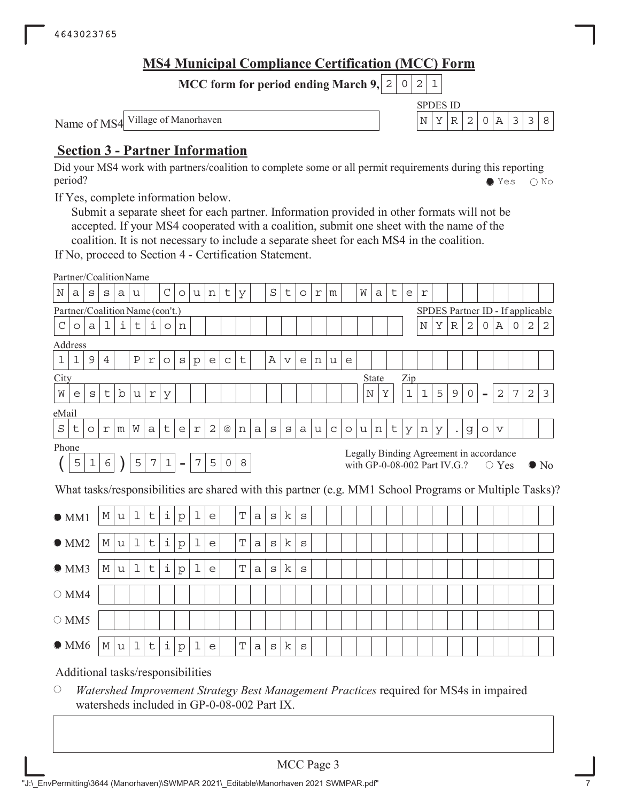# **MS4 Municipal Compliance Certification (MCC) Form**

SPDES ID

**MCC form for period ending March 9, 2 0 2 1** 

Name of MS4 Village of Manorhaven  $\vert N \vert Y \vert R \vert 2 \vert 0 \vert A \vert 3 \vert 3 \vert 8$ 

# **Section 3 - Partner Information**

Did your MS4 work with partners/coalition to complete some or all permit requirements during this reporting period? Yes No

If Yes, complete information below.

Submit a separate sheet for each partner. Information provided in other formats will not be accepted. If your MS4 cooperated with a coalition, submit one sheet with the name of the coalition. It is not necessary to include a separate sheet for each MS4 in the coalition.

If No, proceed to Section 4 - Certification Statement.

|             | Partner/CoalitionName           |              |            |   |   |                  |              |                          |                  |              |                 |             |   |              |                 |              |   |              |         |   |                                                                         |   |             |             |                                  |             |   |                          |              |   |   |                                                                                                        |
|-------------|---------------------------------|--------------|------------|---|---|------------------|--------------|--------------------------|------------------|--------------|-----------------|-------------|---|--------------|-----------------|--------------|---|--------------|---------|---|-------------------------------------------------------------------------|---|-------------|-------------|----------------------------------|-------------|---|--------------------------|--------------|---|---|--------------------------------------------------------------------------------------------------------|
| N           | a                               | S            | S          | а | u |                  | $\mathsf{C}$ | $\circ$                  | u                | n            | t               | У           |   | S            | t               | $\circ$      | r | m            |         | W | a                                                                       | t | e           | r           |                                  |             |   |                          |              |   |   |                                                                                                        |
|             | Partner/Coalition Name (con't.) |              |            |   |   |                  |              |                          |                  |              |                 |             |   |              |                 |              |   |              |         |   |                                                                         |   |             |             | SPDES Partner ID - If applicable |             |   |                          |              |   |   |                                                                                                        |
| $\mathsf C$ | $\circ$                         | $\mathsf{a}$ | ı          | i | t | i                | $\circ$      | n                        |                  |              |                 |             |   |              |                 |              |   |              |         |   |                                                                         |   |             | N           | Υ                                | $\mathbb R$ | 2 | 0                        | Α            | 0 | 2 | 2                                                                                                      |
|             | Address                         |              |            |   |   |                  |              |                          |                  |              |                 |             |   |              |                 |              |   |              |         |   |                                                                         |   |             |             |                                  |             |   |                          |              |   |   |                                                                                                        |
| $\mathbf 1$ | $\mathbf{1}$                    | 9            | 4          |   | Ρ | r                | $\circ$      | $\mathtt{s}$             | p                | e            | $\mathsf C$     | t           |   | Α            | $\triangledown$ | e            | n | u            | e       |   |                                                                         |   |             |             |                                  |             |   |                          |              |   |   |                                                                                                        |
| City        |                                 |              |            |   |   |                  |              |                          |                  |              |                 |             |   |              |                 |              |   |              |         |   | State                                                                   |   | Zip         |             |                                  |             |   |                          |              |   |   |                                                                                                        |
| W           | e                               | S            | t          | b | u | $\,$ $\,$ $\,$   | У            |                          |                  |              |                 |             |   |              |                 |              |   |              |         |   | N<br>Υ                                                                  |   | $\mathbf 1$ | $\mathbf 1$ | 5                                | 9           | 0 | $\overline{\phantom{0}}$ | $\mathbf{2}$ | 7 | 2 | 3                                                                                                      |
| eMail       |                                 |              |            |   |   |                  |              |                          |                  |              |                 |             |   |              |                 |              |   |              |         |   |                                                                         |   |             |             |                                  |             |   |                          |              |   |   |                                                                                                        |
| S           | t                               | $\circ$      | r          | m | W | a                | t            | e                        | r                | $\mathbf{2}$ | $^{\copyright}$ | n           | a | $\mathtt{s}$ | S               | a            | u | $\mathtt{C}$ | $\circ$ | u | n                                                                       | t | У           | n           | У                                | $\bullet$   | g | $\circ$                  | V            |   |   |                                                                                                        |
| Phone       |                                 |              |            |   |   |                  |              |                          |                  |              |                 |             |   |              |                 |              |   |              |         |   |                                                                         |   |             |             |                                  |             |   |                          |              |   |   |                                                                                                        |
|             | 5                               | $\mathbf 1$  | $\epsilon$ |   | 5 | $\boldsymbol{7}$ | $\mathbf 1$  | $\overline{\phantom{a}}$ | $\boldsymbol{7}$ | 5            | $\circ$         | 8           |   |              |                 |              |   |              |         |   | Legally Binding Agreement in accordance<br>with GP-0-08-002 Part IV.G.? |   |             |             |                                  |             |   |                          | $\circ$ Yes  |   |   | $\bullet$ No                                                                                           |
|             |                                 |              |            |   |   |                  |              |                          |                  |              |                 |             |   |              |                 |              |   |              |         |   |                                                                         |   |             |             |                                  |             |   |                          |              |   |   | What tasks/responsibilities are shared with this partner (e.g. MM1 School Programs or Multiple Tasks)? |
| OM1         |                                 |              |            |   |   |                  |              |                          |                  |              |                 |             |   |              |                 |              |   |              |         |   |                                                                         |   |             |             |                                  |             |   |                          |              |   |   |                                                                                                        |
|             |                                 |              | М          | u | 1 | t                | $\dot{1}$    | $\rm p$                  | 1                | e            |                 | Т           | a | $\mathbf S$  | k               | S            |   |              |         |   |                                                                         |   |             |             |                                  |             |   |                          |              |   |   |                                                                                                        |
|             | $\bullet$ MM2                   |              | М          | u | 1 | t                | i            | $\rm p$                  | 1                | e            |                 | T           | a | S            | k               | $\mathtt{s}$ |   |              |         |   |                                                                         |   |             |             |                                  |             |   |                          |              |   |   |                                                                                                        |
|             | OMM3                            |              | М          | u | 1 | t                | i            | p                        | 1                | e            |                 | $\mathbf T$ | a | $\mathtt{s}$ | k               | $\mathtt{s}$ |   |              |         |   |                                                                         |   |             |             |                                  |             |   |                          |              |   |   |                                                                                                        |
|             | $\circ$ MM4                     |              |            |   |   |                  |              |                          |                  |              |                 |             |   |              |                 |              |   |              |         |   |                                                                         |   |             |             |                                  |             |   |                          |              |   |   |                                                                                                        |
|             | $\circ$ MM5                     |              |            |   |   |                  |              |                          |                  |              |                 |             |   |              |                 |              |   |              |         |   |                                                                         |   |             |             |                                  |             |   |                          |              |   |   |                                                                                                        |
|             | $\bullet$ MM6                   |              | М          | u | 1 | t                | $\dot{1}$    | $\rm p$                  | 1                | e            |                 | T           | a | S            | k               | $\mathbf S$  |   |              |         |   |                                                                         |   |             |             |                                  |             |   |                          |              |   |   |                                                                                                        |

#### $\bigcirc$ *Watershed Improvement Strategy Best Management Practices* required for MS4s in impaired watersheds included in GP-0-08-002 Part IX.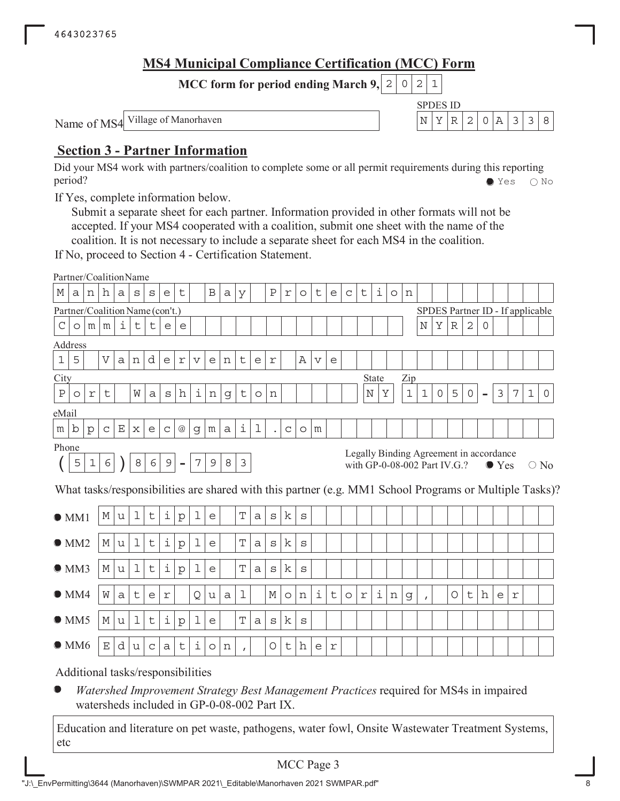# **MS4 Municipal Compliance Certification (MCC) Form**

SPDES ID

**MCC form for period ending March 9, 2 0 2 1** 

Name of MS4 Village of Manorhaven  $\vert N \vert Y \vert R \vert 2 \vert 0 \vert A \vert 3 \vert 3 \vert 8$ 

# **Section 3 - Partner Information**

Did your MS4 work with partners/coalition to complete some or all permit requirements during this reporting period? Yes No

If Yes, complete information below.

Submit a separate sheet for each partner. Information provided in other formats will not be accepted. If your MS4 cooperated with a coalition, submit one sheet with the name of the coalition. It is not necessary to include a separate sheet for each MS4 in the coalition.

If No, proceed to Section 4 - Certification Statement.

|               | Partner/CoalitionName           |                |                    |              |             |                                 |             |                 |                |                 |         |                |              |              |              |         |                 |             |              |            |                                         |         |       |              |             |             |                     |                          |               |            |                                  |                                                                                                        |
|---------------|---------------------------------|----------------|--------------------|--------------|-------------|---------------------------------|-------------|-----------------|----------------|-----------------|---------|----------------|--------------|--------------|--------------|---------|-----------------|-------------|--------------|------------|-----------------------------------------|---------|-------|--------------|-------------|-------------|---------------------|--------------------------|---------------|------------|----------------------------------|--------------------------------------------------------------------------------------------------------|
| М             | а                               | n              | h                  | a            | S           | S                               | e           | t               |                | $\, {\bf B}$    | a       | У              |              | Ρ            | $\mathtt{r}$ | $\circ$ | t               | e           | $\mathsf{C}$ | t          | i                                       | $\circ$ | n     |              |             |             |                     |                          |               |            |                                  |                                                                                                        |
|               | Partner/Coalition Name (con't.) |                |                    |              |             |                                 |             |                 |                |                 |         |                |              |              |              |         |                 |             |              |            |                                         |         |       |              |             |             |                     |                          |               |            | SPDES Partner ID - If applicable |                                                                                                        |
| С             | O                               | m <sub>1</sub> | m                  | i            | t           | t                               | e           | e               |                |                 |         |                |              |              |              |         |                 |             |              |            |                                         |         |       | $\mathbf N$  | Υ           | $\mathbb R$ | 2                   | $\Omega$                 |               |            |                                  |                                                                                                        |
|               | Address                         |                |                    |              |             |                                 |             |                 |                |                 |         |                |              |              |              |         |                 |             |              |            |                                         |         |       |              |             |             |                     |                          |               |            |                                  |                                                                                                        |
| $\mathbf 1$   | 5                               |                | $\mathbf V$        | $\mathsf{a}$ | n           | d                               | e           | $\,$ $\,$ $\,$  | $\mathbf v$    | e               | n       | t              | e            | r            |              | Α       | $\triangledown$ | e           |              |            |                                         |         |       |              |             |             |                     |                          |               |            |                                  |                                                                                                        |
| City          |                                 |                |                    |              |             |                                 |             |                 |                |                 |         |                |              |              |              |         |                 |             |              |            | <b>State</b>                            |         | Zip   |              |             |             |                     |                          |               |            |                                  |                                                                                                        |
| $\, {\bf P}$  | $\circ$                         | r              | t                  |              | W           | a                               | S           | h               | i              | $\mathbf n$     | g       | $\mathsf t$    | $\circ$      | n            |              |         |                 |             |              |            | Υ<br>Ν                                  |         | $1\,$ | $\mathbf 1$  | $\mathsf O$ | 5           | $\mathsf{O}\xspace$ | $\overline{\phantom{a}}$ | 3             | 7          | $\mathbf{1}$                     | $\mathbf 0$                                                                                            |
| eMail         |                                 |                |                    |              |             |                                 |             |                 |                |                 |         |                |              |              |              |         |                 |             |              |            |                                         |         |       |              |             |             |                     |                          |               |            |                                  |                                                                                                        |
| m             | b                               | $\mathbf{p}$   | $\mathsf C$        | Ε            | X           | e                               | $\mathsf C$ | $^{\copyright}$ | g              | ${\mathfrak m}$ | a       | i              | 1            |              | $\mathsf C$  | $\circ$ | m               |             |              |            |                                         |         |       |              |             |             |                     |                          |               |            |                                  |                                                                                                        |
| Phone         |                                 |                |                    |              |             |                                 |             |                 |                |                 |         |                |              |              |              |         |                 |             |              |            | Legally Binding Agreement in accordance |         |       |              |             |             |                     |                          |               |            |                                  |                                                                                                        |
|               | 5                               | $\mathbf 1$    | 6                  |              | $\,8\,$     | 6                               | $\mathsf 9$ |                 | $\overline{7}$ | $\mathsf 9$     | $\,8\,$ | $\mathfrak{Z}$ |              |              |              |         |                 |             |              |            | with GP-0-08-002 Part IV.G.?            |         |       |              |             |             |                     |                          | $\bullet$ Yes |            |                                  | $\bigcirc$ No                                                                                          |
|               |                                 |                |                    |              |             |                                 |             |                 |                |                 |         |                |              |              |              |         |                 |             |              |            |                                         |         |       |              |             |             |                     |                          |               |            |                                  | What tasks/responsibilities are shared with this partner (e.g. MM1 School Programs or Multiple Tasks)? |
|               |                                 |                |                    |              |             |                                 |             |                 |                |                 |         |                |              |              |              |         |                 |             |              |            |                                         |         |       |              |             |             |                     |                          |               |            |                                  |                                                                                                        |
|               | $\bullet$ MM1                   |                | М                  | u            | $\mathbf 1$ | t                               | i           | $\rm p$         | 1              | e               |         | $\mathbf T$    | $\mathsf{a}$ | $\rm s$      | k            | S       |                 |             |              |            |                                         |         |       |              |             |             |                     |                          |               |            |                                  |                                                                                                        |
| $\bullet$ MM2 |                                 |                | М                  | u            | $\mathbf 1$ | $\mathsf t$                     | i           | $\mathbf{p}$    | 1              | e               |         | T              | a            | S            | k            | S       |                 |             |              |            |                                         |         |       |              |             |             |                     |                          |               |            |                                  |                                                                                                        |
|               |                                 |                |                    |              |             |                                 |             |                 |                |                 |         |                |              |              |              |         |                 |             |              |            |                                         |         |       |              |             |             |                     |                          |               |            |                                  |                                                                                                        |
| OMM3          |                                 |                | М                  | u            | $\mathbf 1$ | t                               | i           | $\rm p$         | 1              | e               |         | T              | $\mathsf{a}$ | $\mathtt{s}$ | k            | S       |                 |             |              |            |                                         |         |       |              |             |             |                     |                          |               |            |                                  |                                                                                                        |
| $\bullet$ MM4 |                                 |                | W                  | a            | t           | e                               | $\Upsilon$  |                 | Q              | u               | a       | $\mathbf 1$    |              | $\mathbb M$  | $\circ$      | n       | i               | $\mathsf t$ | $\circ$      | $\Upsilon$ | i                                       | n       | g     | $\mathbf{r}$ |             | $\circ$     | t                   | h                        | e             | $\Upsilon$ |                                  |                                                                                                        |
| $\bullet$ MM5 |                                 |                | М                  | u            | $\mathbf 1$ | $\mathsf t$                     | i           | $\rm p$         | 1              | e               |         | T              | a            | S            | k            | S       |                 |             |              |            |                                         |         |       |              |             |             |                     |                          |               |            |                                  |                                                                                                        |
| $\bullet$ MM6 |                                 |                | $\mathbf{E}% _{0}$ | d            | u           | $\mathsf{C}$                    | a           | t               | i              | $\circ$         | n       | $\mathbf{r}$   |              | O            | t            | h       | e               | r           |              |            |                                         |         |       |              |             |             |                     |                          |               |            |                                  |                                                                                                        |
|               |                                 |                |                    |              |             | Additional toglycomongibilities |             |                 |                |                 |         |                |              |              |              |         |                 |             |              |            |                                         |         |       |              |             |             |                     |                          |               |            |                                  |                                                                                                        |

Additional tasks/responsibilities

*Watershed Improvement Strategy Best Management Practices* required for MS4s in impaired watersheds included in GP-0-08-002 Part IX.

Education and literature on pet waste, pathogens, water fowl, Onsite Wastewater Treatment Systems, etc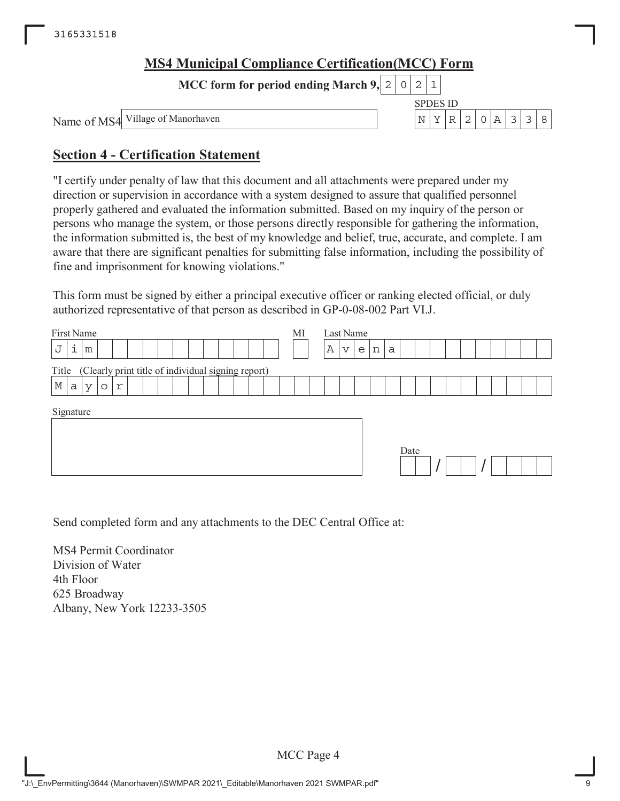| <b>MS4 Municipal Compliance Certification (MCC) Form</b> |  |          |  |          |  |              |
|----------------------------------------------------------|--|----------|--|----------|--|--------------|
| MCC form for period ending March 9, $ 2 0 2 1 $          |  |          |  |          |  |              |
|                                                          |  | SPDES ID |  |          |  |              |
| Name of MS4 Village of Manorhaven                        |  |          |  | NYR20A33 |  | $\mathsf{R}$ |

# **Section 4 - Certification Statement**

"I certify under penalty of law that this document and all attachments were prepared under my direction or supervision in accordance with a system designed to assure that qualified personnel properly gathered and evaluated the information submitted. Based on my inquiry of the person or persons who manage the system, or those persons directly responsible for gathering the information, the information submitted is, the best of my knowledge and belief, true, accurate, and complete. I am aware that there are significant penalties for submitting false information, including the possibility of fine and imprisonment for knowing violations."

This form must be signed by either a principal executive officer or ranking elected official, or duly authorized representative of that person as described in GP-0-08-002 Part VI.J.

| First Name<br>i<br>J                                        | MI | Last Name<br>Α<br>$\mathbf v$ |
|-------------------------------------------------------------|----|-------------------------------|
| m                                                           |    | n<br>e<br>a                   |
| (Clearly print title of individual signing report)<br>Title |    |                               |
| $\mathbb M$<br>a<br>r<br>$\vee$<br>$\circ$                  |    |                               |
| Signature                                                   |    | Date                          |

Send completed form and any attachments to the DEC Central Office at:

MS4 Permit Coordinator Division of Water 4th Floor 625 Broadway Albany, New York 12233-3505

MCC Page 4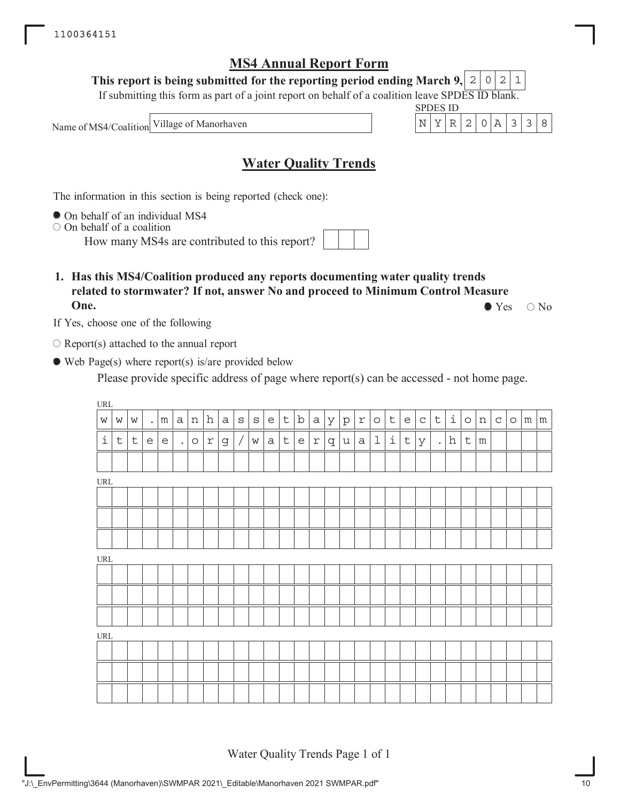**This report is being submitted for the reporting period ending March 9,**  $2|0|2|1$ 

If submitting this form as part of a joint report on behalf of a coalition leave SPDES ID blank.

Name of MS4/Coalition



# **Water Quality Trends**

The information in this section is being reported (check one):

On behalf of an individual MS4

 $\circ$  On behalf of a coalition

How many MS4s are contributed to this report?

**1. Has this MS4/Coalition produced any reports documenting water quality trends related to stormwater? If not, answer No and proceed to Minimum Control Measure One.**  $\bullet$  Yes  $\circ$  No

If Yes, choose one of the following

 $\bigcirc$  Report(s) attached to the annual report

Web Page(s) where report(s) is/are provided below

Please provide specific address of page where report(s) can be accessed - not home page.

| $\ensuremath{\mathsf{URL}}\xspace$ |             |             |        |                                   |                      |         |              |              |            |             |              |             |              |             |   |         |                         |             |                   |                                   |             |                      |       |             |                 |              |         |            |  |
|------------------------------------|-------------|-------------|--------|-----------------------------------|----------------------|---------|--------------|--------------|------------|-------------|--------------|-------------|--------------|-------------|---|---------|-------------------------|-------------|-------------------|-----------------------------------|-------------|----------------------|-------|-------------|-----------------|--------------|---------|------------|--|
| $\mathsf{W}$                       | W           | W           | $\Box$ | m                                 | a                    | n       | h            | $\mathsf{a}$ | $\rm S$    | $\rm S$     | e            | $\mathsf t$ | $\mathbf b$  | $\mathsf a$ | У | $\rm p$ | $\mathfrak{\textbf{L}}$ | $\circ$     | $\mathsf t$       | $\mathsf{e}% _{t}\left( t\right)$ | $\mathsf C$ | $\mathsf t$          | i     | $\circ$     | n               | $\mathsf{C}$ | $\circ$ | $m \mid m$ |  |
| $\dot{\mathtt{l}}$                 | $\mathsf t$ | $\mathsf t$ | e      | $\mathsf{e}% _{t}\left( t\right)$ | $\ddot{\phantom{a}}$ | $\circ$ | $\mathtt{r}$ | $\mathsf g$  | $\sqrt{2}$ | $\mathbf W$ | $\mathsf{a}$ | $\mathsf t$ | $\mathsf{e}$ | $\Upsilon$  | q | u       | $\mathsf a$             | $\mathbf 1$ | $\dot{\mathtt l}$ | $\mathsf t$                       | У           | $\ddot{\phantom{a}}$ | $\,h$ | $\mathsf t$ | ${\mathfrak m}$ |              |         |            |  |
|                                    |             |             |        |                                   |                      |         |              |              |            |             |              |             |              |             |   |         |                         |             |                   |                                   |             |                      |       |             |                 |              |         |            |  |
| $\ensuremath{\mathsf{URL}}\xspace$ |             |             |        |                                   |                      |         |              |              |            |             |              |             |              |             |   |         |                         |             |                   |                                   |             |                      |       |             |                 |              |         |            |  |
|                                    |             |             |        |                                   |                      |         |              |              |            |             |              |             |              |             |   |         |                         |             |                   |                                   |             |                      |       |             |                 |              |         |            |  |
|                                    |             |             |        |                                   |                      |         |              |              |            |             |              |             |              |             |   |         |                         |             |                   |                                   |             |                      |       |             |                 |              |         |            |  |
|                                    |             |             |        |                                   |                      |         |              |              |            |             |              |             |              |             |   |         |                         |             |                   |                                   |             |                      |       |             |                 |              |         |            |  |
| $\ensuremath{\mathsf{URL}}\xspace$ |             |             |        |                                   |                      |         |              |              |            |             |              |             |              |             |   |         |                         |             |                   |                                   |             |                      |       |             |                 |              |         |            |  |
|                                    |             |             |        |                                   |                      |         |              |              |            |             |              |             |              |             |   |         |                         |             |                   |                                   |             |                      |       |             |                 |              |         |            |  |
|                                    |             |             |        |                                   |                      |         |              |              |            |             |              |             |              |             |   |         |                         |             |                   |                                   |             |                      |       |             |                 |              |         |            |  |
|                                    |             |             |        |                                   |                      |         |              |              |            |             |              |             |              |             |   |         |                         |             |                   |                                   |             |                      |       |             |                 |              |         |            |  |
| $\ensuremath{\mathsf{URL}}\xspace$ |             |             |        |                                   |                      |         |              |              |            |             |              |             |              |             |   |         |                         |             |                   |                                   |             |                      |       |             |                 |              |         |            |  |
|                                    |             |             |        |                                   |                      |         |              |              |            |             |              |             |              |             |   |         |                         |             |                   |                                   |             |                      |       |             |                 |              |         |            |  |
|                                    |             |             |        |                                   |                      |         |              |              |            |             |              |             |              |             |   |         |                         |             |                   |                                   |             |                      |       |             |                 |              |         |            |  |
|                                    |             |             |        |                                   |                      |         |              |              |            |             |              |             |              |             |   |         |                         |             |                   |                                   |             |                      |       |             |                 |              |         |            |  |

Water Quality Trends Page 1 of 1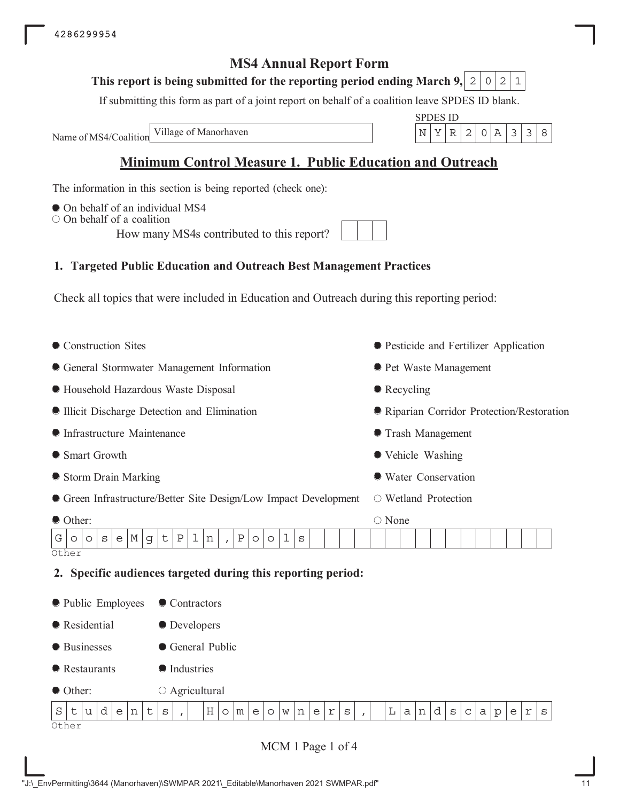## **This report is being submitted for the reporting period ending March 9, 2 0 2 1**

If submitting this form as part of a joint report on behalf of a coalition leave SPDES ID blank.

Name of MS4/Coalition

SPDES ID Village of Manorhaven  $\vert N \vert Y \vert R \vert 2 \vert 0 \vert A \vert 3 \vert 3 \vert 8$ 

# **Minimum Control Measure 1. Public Education and Outreach**

The information in this section is being reported (check one):

- $\bullet$  On behalf of an individual MS4
- $\circ$  On behalf of a coalition

How many MS4s contributed to this report?

## **1. Targeted Public Education and Outreach Best Management Practices**

Check all topics that were included in Education and Outreach during this reporting period:

| General Stormwater Management Information<br><b>• Pet Waste Management</b><br>• Recycling<br><b>• Household Hazardous Waste Disposal</b><br>Illicit Discharge Detection and Elimination<br>Riparian Corridor Protection/Restoration |
|-------------------------------------------------------------------------------------------------------------------------------------------------------------------------------------------------------------------------------------|
|                                                                                                                                                                                                                                     |
|                                                                                                                                                                                                                                     |
|                                                                                                                                                                                                                                     |
| <b>Infrastructure Maintenance</b><br><b>Trash Management</b>                                                                                                                                                                        |
| Smart Growth<br>• Vehicle Washing                                                                                                                                                                                                   |
| Storm Drain Marking<br>● Water Conservation                                                                                                                                                                                         |
| • Green Infrastructure/Better Site Design/Low Impact Development<br>○ Wetland Protection                                                                                                                                            |
| ○ None<br>Other:                                                                                                                                                                                                                    |
| $\mathsf t$<br>ı<br>$\, {\bf P}$<br>1<br>М<br>Ρ<br>G<br>g<br>n<br>S<br>S<br>e<br>$\circ$<br>$\circ$<br>$\circ$<br>$\circ$<br>$\overline{I}$<br>Other                                                                                |
| 2. Specific audiences targeted during this reporting period:                                                                                                                                                                        |
|                                                                                                                                                                                                                                     |
| lacktriangleright Public Employees<br>Contractors                                                                                                                                                                                   |
| Residential<br>• Developers                                                                                                                                                                                                         |
| <b>•</b> Businesses<br>General Public                                                                                                                                                                                               |
| <b>Industries</b><br>$\bullet$ Restaurants                                                                                                                                                                                          |
| $\circ$ Agricultural<br>Other:                                                                                                                                                                                                      |
| d<br>Н<br>L<br>d<br>S<br>t<br>t<br>e<br>l n<br>uΙ<br>$\mathbf S$<br>$\circ$<br>m<br>e<br>n<br>e<br>r<br>S<br>a<br>n<br>S<br>$\mathsf C$<br>a<br>$\rm p$<br>e<br>$\Upsilon$<br>$\circ$<br>W<br>S<br>$\mathbf{r}$<br>Other            |

MCM 1 Page 1 of 4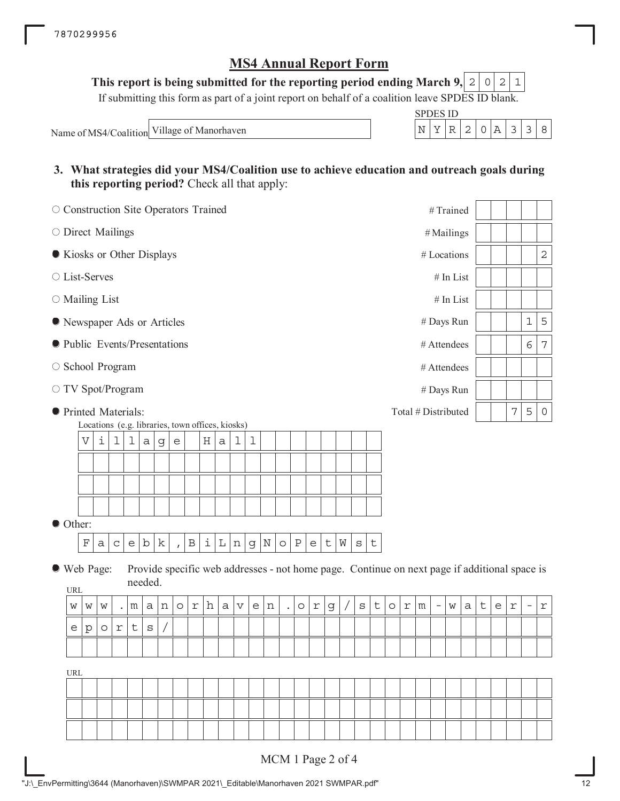This report is being submitted for the reporting period ending March 9,  $\mid 2 \mid 0 \mid 2 \mid 1$ 

If submitting this form as part of a joint report on behalf of a coalition leave SPDES ID blank.

Name of MS4/Coalition Village of Manorhaven

| SPDES 11) |  |  |  |  |
|-----------|--|--|--|--|
|           |  |  |  |  |

**3. What strategies did your MS4/Coalition use to achieve education and outreach goals during this reporting period?** Check all that apply:

| O Construction Site Operators Trained |                                                                |         |             |                                                   |         |             |                           |                         |   |             |                       |             |         |                      |              |                                   |             |   |         |             |         |   |                     | #Trained                 |             |   |             |                                   |            |                                                                                              |             |
|---------------------------------------|----------------------------------------------------------------|---------|-------------|---------------------------------------------------|---------|-------------|---------------------------|-------------------------|---|-------------|-----------------------|-------------|---------|----------------------|--------------|-----------------------------------|-------------|---|---------|-------------|---------|---|---------------------|--------------------------|-------------|---|-------------|-----------------------------------|------------|----------------------------------------------------------------------------------------------|-------------|
| O Direct Mailings                     |                                                                |         |             |                                                   |         |             |                           |                         |   |             |                       |             |         |                      |              |                                   |             |   |         |             |         |   |                     | #Mailings                |             |   |             |                                   |            |                                                                                              |             |
| Kiosks or Other Displays              |                                                                |         |             |                                                   |         |             |                           |                         |   |             |                       |             |         |                      |              |                                   |             |   |         |             |         |   |                     | # Locations              |             |   |             |                                   |            |                                                                                              | $\mathbf 2$ |
| ○ List-Serves                         |                                                                |         |             |                                                   |         |             |                           |                         |   |             |                       |             |         |                      |              |                                   |             |   |         |             |         |   |                     |                          | $#$ In List |   |             |                                   |            |                                                                                              |             |
|                                       | $\circ$ Mailing List<br># In List<br># Days Run<br># Attendees |         |             |                                                   |         |             |                           |                         |   |             |                       |             |         |                      |              |                                   |             |   |         |             |         |   |                     |                          |             |   |             |                                   |            |                                                                                              |             |
|                                       | Rewspaper Ads or Articles                                      |         |             |                                                   |         |             |                           |                         |   |             |                       |             |         |                      |              |                                   |             |   |         | $\mathbf 1$ | 5       |   |                     |                          |             |   |             |                                   |            |                                                                                              |             |
|                                       | # Attendees                                                    |         |             |                                                   |         |             |                           |                         |   |             |                       |             |         |                      |              |                                   |             |   |         | 6           | 7       |   |                     |                          |             |   |             |                                   |            |                                                                                              |             |
|                                       | lacktriangleright Presentations                                |         |             |                                                   |         |             |                           |                         |   |             |                       |             |         |                      |              |                                   |             |   |         |             |         |   |                     |                          |             |   |             |                                   |            |                                                                                              |             |
|                                       | ○ School Program<br>○ TV Spot/Program<br># Days Run            |         |             |                                                   |         |             |                           |                         |   |             |                       |             |         |                      |              |                                   |             |   |         |             |         |   |                     |                          |             |   |             |                                   |            |                                                                                              |             |
| <b>•</b> Printed Materials:           |                                                                |         |             |                                                   |         |             |                           |                         |   |             |                       |             |         |                      |              |                                   |             |   |         |             |         |   | Total # Distributed |                          |             |   |             |                                   | 7          | 5                                                                                            | 0           |
|                                       | Locations (e.g. libraries, town offices, kiosks)<br>V          | i       | 1           | 1                                                 | a       | $\mathsf g$ | $\mathop{\rm e}\nolimits$ |                         | Η | $\mathsf a$ | 1                     | $\mathbf 1$ |         |                      |              |                                   |             |   |         |             |         |   |                     |                          |             |   |             |                                   |            |                                                                                              |             |
|                                       |                                                                |         |             |                                                   |         |             |                           |                         |   |             |                       |             |         |                      |              |                                   |             |   |         |             |         |   |                     |                          |             |   |             |                                   |            |                                                                                              |             |
|                                       |                                                                |         |             |                                                   |         |             |                           |                         |   |             |                       |             |         |                      |              |                                   |             |   |         |             |         |   |                     |                          |             |   |             |                                   |            |                                                                                              |             |
|                                       |                                                                |         |             |                                                   |         |             |                           |                         |   |             |                       |             |         |                      |              |                                   |             |   |         |             |         |   |                     |                          |             |   |             |                                   |            |                                                                                              |             |
| Other:                                |                                                                |         |             |                                                   |         |             |                           |                         |   |             |                       |             |         |                      |              |                                   |             |   |         |             |         |   |                     |                          |             |   |             |                                   |            |                                                                                              |             |
|                                       | $\mathbf F$                                                    | a       | $\mathsf C$ | $\mathsf{e}% _{t}\!\left( \mathcal{A}_{t}\right)$ | b       | k           | $\mathbf{r}$              | $\, {\bf B}$            | i | $\mathbb L$ | n                     | g           | $\rm N$ | $\circ$              | $\, {\bf P}$ | $\mathsf{e}% _{t}\left( t\right)$ | $\mathsf t$ | W | $\rm s$ | t           |         |   |                     |                          |             |   |             |                                   |            |                                                                                              |             |
| ● Web Page:<br><b>URL</b>             |                                                                |         |             |                                                   | needed. |             |                           |                         |   |             |                       |             |         |                      |              |                                   |             |   |         |             |         |   |                     |                          |             |   |             |                                   |            | Provide specific web addresses - not home page. Continue on next page if additional space is |             |
| W                                     | W                                                              | W       |             | m                                                 | a       | n           | $\circ$                   | $\mathfrak{\textbf{r}}$ | h | а           | $\boldsymbol{\nabla}$ | e           | n       | $\ddot{\phantom{0}}$ | $\circ$      | $\Upsilon$                        | $\mathsf g$ |   | $\rm s$ | t           | $\circ$ | r | m                   | $\overline{\phantom{m}}$ | W           | а | $\mathsf t$ | $\mathsf{e}% _{t}\left( t\right)$ | $\Upsilon$ | $\overline{\phantom{a}}$                                                                     | $\Upsilon$  |
| e                                     | p                                                              | $\circ$ | $\Upsilon$  | t                                                 | $\rm s$ |             |                           |                         |   |             |                       |             |         |                      |              |                                   |             |   |         |             |         |   |                     |                          |             |   |             |                                   |            |                                                                                              |             |
|                                       |                                                                |         |             |                                                   |         |             |                           |                         |   |             |                       |             |         |                      |              |                                   |             |   |         |             |         |   |                     |                          |             |   |             |                                   |            |                                                                                              |             |
| URL                                   |                                                                |         |             |                                                   |         |             |                           |                         |   |             |                       |             |         |                      |              |                                   |             |   |         |             |         |   |                     |                          |             |   |             |                                   |            |                                                                                              |             |
|                                       |                                                                |         |             |                                                   |         |             |                           |                         |   |             |                       |             |         |                      |              |                                   |             |   |         |             |         |   |                     |                          |             |   |             |                                   |            |                                                                                              |             |
|                                       |                                                                |         |             |                                                   |         |             |                           |                         |   |             |                       |             |         |                      |              |                                   |             |   |         |             |         |   |                     |                          |             |   |             |                                   |            |                                                                                              |             |
|                                       |                                                                |         |             |                                                   |         |             |                           |                         |   |             |                       |             |         |                      |              |                                   |             |   |         |             |         |   |                     |                          |             |   |             |                                   |            |                                                                                              |             |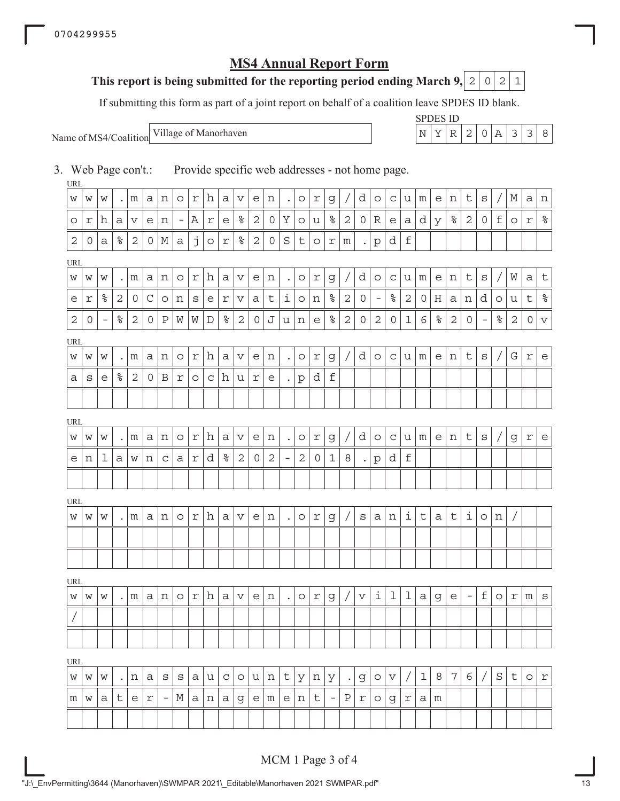## **This report is being submitted for the reporting period ending March 9, 2 0 2 1**

If submitting this form as part of a joint report on behalf of a coalition leave SPDES ID blank.

Name of MS4/Coalition

SPDES ID Village of Manorhaven  $\vert N \vert Y \vert R \vert 2 \vert 0 \vert A \vert 3 \vert 3 \vert 8$ 

3. Web Page con't.: Provide specific web addresses - not home page.

| URL          |   |                          |                  |              |            |                          |                              |                |         |                 |                 |                |              |                      |            |         |                          |              |                      |                          |                 |                     |             |                  |                  |          |                          |         |             |            |                                   |
|--------------|---|--------------------------|------------------|--------------|------------|--------------------------|------------------------------|----------------|---------|-----------------|-----------------|----------------|--------------|----------------------|------------|---------|--------------------------|--------------|----------------------|--------------------------|-----------------|---------------------|-------------|------------------|------------------|----------|--------------------------|---------|-------------|------------|-----------------------------------|
| W            | W | W                        | $\bullet$        | m            | а          | n                        | $\circ$                      | r              | h       | а               | V               | e              | n            | $\ddot{\phantom{1}}$ | $\circ$    | r       | g                        |              | d                    | $\circ$                  | C               | u                   | m           | е                | n                | t        | $\rm s$                  |         | М           | а          | n                                 |
| $\circ$      | r | h                        | а                | V            | e          | n                        | $\qquad \qquad \blacksquare$ | Α              | r       | е               | $\frac{6}{\pi}$ | 2              | 0            | Υ                    | $\circ$    | u       | $\frac{6}{\pi}$          | $\mathbf{2}$ | 0                    | R                        | e               | а                   | d           | У                | $\,{}^{\circ}\!$ | 2        | $\mathbf 0$              | f       | $\circ$     | $\Upsilon$ | $\frac{8}{6}$                     |
| $\mathbf{2}$ | 0 | а                        | ್ಠಿ              | 2            | $\circ$    | М                        | а                            | j              | $\circ$ | r               | $\,$ $\,$       | $\overline{c}$ | 0            | S                    | t          | $\circ$ | r                        | m            | $\ddot{\phantom{0}}$ | $\mathbf{p}$             | d               | f                   |             |                  |                  |          |                          |         |             |            |                                   |
| URL          |   |                          |                  |              |            |                          |                              |                |         |                 |                 |                |              |                      |            |         |                          |              |                      |                          |                 |                     |             |                  |                  |          |                          |         |             |            |                                   |
| W            | W | W                        | $\bullet$        | m            | а          | n                        | $\circ$                      | r              | h       | а               | V               | е              | n            | $\ddot{\phantom{a}}$ | $\circ$    | r       | g                        |              | d                    | $\circ$                  | C               | u                   | m           | е                | n                | t        | S                        |         | W           | а          | $\sf t$                           |
| е            | r | $\,$ $\,$                | 2                | 0            | C          | O                        | n                            | S              | e       | r               | V               | а              | t            | ı                    | $\circ$    | n       | $\,{}^{\circ}\!$         | $\mathbf{2}$ | 0                    | $\overline{\phantom{a}}$ | $\frac{8}{\pi}$ | $\mathbf{2}$        | 0           | Η                | а                | n        | d                        | $\circ$ | u           | t          | $\frac{8}{6}$                     |
| 2            | 0 | $\overline{\phantom{a}}$ | ್ಠಿ              | 2            | 0          | $\mathbf P$              | W                            | W              | D       | ್ಯ              | $\mathbf{2}$    | 0              | J            | u                    | n          | e       | $\,$ $\,$                | $\mathbf{2}$ | 0                    | $\mathbf{2}$             | 0               | $\mathbf 1$         | 6           | $\,{}^{\circ}\!$ | $\mathbf{2}$     | 0        | $\overline{\phantom{m}}$ | ್ಠಿ     | $\mathbf 2$ | 0          | $\boldsymbol{\nabla}$             |
| URL          |   |                          |                  |              |            |                          |                              |                |         |                 |                 |                |              |                      |            |         |                          |              |                      |                          |                 |                     |             |                  |                  |          |                          |         |             |            |                                   |
| W            | W | W                        |                  | m            | а          | n                        | $\circ$                      | r              | h       | а               | V               | e              | n            | $\bullet$            | $\circ$    | r       | g                        |              | d                    | $\circ$                  | C               | u                   | m           | e                | n                | t        | $\rm s$                  |         | G           | r          | $\mathsf{e}% _{t}\left( t\right)$ |
| а            | S | е                        | $\,{}^{\circ}\!$ | $\mathbf{2}$ | 0          | B                        | r                            | $\circ$        | C       | h               | u               | r              | е            | $\bullet$            | р          | d       | $\mathbf f$              |              |                      |                          |                 |                     |             |                  |                  |          |                          |         |             |            |                                   |
|              |   |                          |                  |              |            |                          |                              |                |         |                 |                 |                |              |                      |            |         |                          |              |                      |                          |                 |                     |             |                  |                  |          |                          |         |             |            |                                   |
| URL          |   |                          |                  |              |            |                          |                              |                |         |                 |                 |                |              |                      |            |         |                          |              |                      |                          |                 |                     |             |                  |                  |          |                          |         |             |            |                                   |
| W            | W | W                        |                  | m            | а          | n                        | O                            | $\Upsilon$     | h       | а               | V               | e              | n            | $\bullet$            | $\circ$    | r       | g                        |              | d                    | $\circ$                  | C               | u                   | m           | е                | n                | t        | S                        |         | g           | $\Upsilon$ | $\epsilon$                        |
| e            | n | ı                        | а                | W            | n          | C                        | а                            | r              | d       | $\frac{8}{\pi}$ | $\sqrt{2}$      | $\overline{0}$ | $\mathbf{2}$ | $\qquad \qquad -$    | $\sqrt{2}$ | 0       | 1                        | 8            | $\bullet$            | $\rm p$                  | d               | $\mathbf f$         |             |                  |                  |          |                          |         |             |            |                                   |
|              |   |                          |                  |              |            |                          |                              |                |         |                 |                 |                |              |                      |            |         |                          |              |                      |                          |                 |                     |             |                  |                  |          |                          |         |             |            |                                   |
| URL          |   |                          |                  |              |            |                          |                              |                |         |                 |                 |                |              |                      |            |         |                          |              |                      |                          |                 |                     |             |                  |                  |          |                          |         |             |            |                                   |
| W            | W | W                        |                  | m            | а          | n                        | O                            | r              | h       | а               | V               | e              | n            |                      | $\circ$    | r       | g                        |              | S                    | a                        | n               | $\dot{\mathbbm{1}}$ | $\sf t$     | $\mathsf{a}$     | t                | i        | $\circ$                  | n       |             |            |                                   |
|              |   |                          |                  |              |            |                          |                              |                |         |                 |                 |                |              |                      |            |         |                          |              |                      |                          |                 |                     |             |                  |                  |          |                          |         |             |            |                                   |
|              |   |                          |                  |              |            |                          |                              |                |         |                 |                 |                |              |                      |            |         |                          |              |                      |                          |                 |                     |             |                  |                  |          |                          |         |             |            |                                   |
| <b>URL</b>   |   |                          |                  |              |            |                          |                              |                |         |                 |                 |                |              |                      |            |         |                          |              |                      |                          |                 |                     |             |                  |                  |          |                          |         |             |            |                                   |
| W            | W | W                        |                  | m            | а          | n                        | $\circ$                      | r              | h       | а               | V               | e              | n            | $\bullet$            | $\circ$    | r       | g                        |              | $\mathbf v$          | ı                        | 1               | 1                   | а           | g                | е                | $\equiv$ | f                        | $\circ$ | r           | m          | $\rm s$                           |
|              |   |                          |                  |              |            |                          |                              |                |         |                 |                 |                |              |                      |            |         |                          |              |                      |                          |                 |                     |             |                  |                  |          |                          |         |             |            |                                   |
|              |   |                          |                  |              |            |                          |                              |                |         |                 |                 |                |              |                      |            |         |                          |              |                      |                          |                 |                     |             |                  |                  |          |                          |         |             |            |                                   |
| <b>URL</b>   |   |                          |                  |              |            |                          |                              |                |         |                 |                 |                |              |                      |            |         |                          |              |                      |                          |                 |                     |             |                  |                  |          |                          |         |             |            |                                   |
| W            | W | W                        | $\bullet$        | n            | а          | S                        | S                            | а              | u       | $\mathbf C$     | $\circ$         | u              | n            | t                    | У          | n       | У                        | $\bullet$    | g                    | $\circ$                  | V               |                     | $\mathbf 1$ | 8                | 7                | 6        |                          | S       | t           | $\circ$    | $\Upsilon$                        |
| m            | W | а                        | t                | e            | $\Upsilon$ | $\overline{\phantom{m}}$ | М                            | a <sub>l</sub> | n       | а               | g               | e <sub>1</sub> | m            | e <sub>1</sub>       | n          | t       | $\overline{\phantom{a}}$ | Ρ            | r                    | $\circ$                  | g               | r                   | а           | m                |                  |          |                          |         |             |            |                                   |
|              |   |                          |                  |              |            |                          |                              |                |         |                 |                 |                |              |                      |            |         |                          |              |                      |                          |                 |                     |             |                  |                  |          |                          |         |             |            |                                   |

MCM 1 Page 3 of 4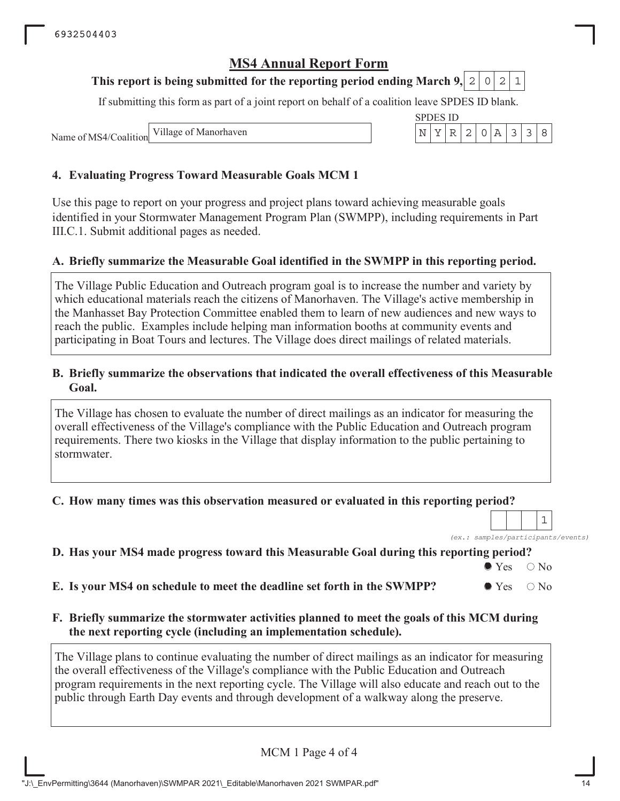## **This report is being submitted for the reporting period ending March 9, 2 0 2 1**

If submitting this form as part of a joint report on behalf of a coalition leave SPDES ID blank.

Name of MS4/Coalition

## **4. Evaluating Progress Toward Measurable Goals MCM 1**

Use this page to report on your progress and project plans toward achieving measurable goals identified in your Stormwater Management Program Plan (SWMPP), including requirements in Part III.C.1. Submit additional pages as needed.

### **A. Briefly summarize the Measurable Goal identified in the SWMPP in this reporting period.**

The Village Public Education and Outreach program goal is to increase the number and variety by which educational materials reach the citizens of Manorhaven. The Village's active membership in the Manhasset Bay Protection Committee enabled them to learn of new audiences and new ways to reach the public. Examples include helping man information booths at community events and participating in Boat Tours and lectures. The Village does direct mailings of related materials.

### **B. Briefly summarize the observations that indicated the overall effectiveness of this Measurable Goal.**

The Village has chosen to evaluate the number of direct mailings as an indicator for measuring the overall effectiveness of the Village's compliance with the Public Education and Outreach program requirements. There two kiosks in the Village that display information to the public pertaining to stormwater.

### **C. How many times was this observation measured or evaluated in this reporting period?**

*(ex.: samples/participants/events)* 1

## **D. Has your MS4 made progress toward this Measurable Goal during this reporting period?**

 $\bullet$  Yes  $\circ$  No

**E.** Is your MS4 on schedule to meet the deadline set forth in the SWMPP?  $\bullet$  Yes  $\circ$  No

## **F. Briefly summarize the stormwater activities planned to meet the goals of this MCM during the next reporting cycle (including an implementation schedule).**

The Village plans to continue evaluating the number of direct mailings as an indicator for measuring the overall effectiveness of the Village's compliance with the Public Education and Outreach program requirements in the next reporting cycle. The Village will also educate and reach out to the public through Earth Day events and through development of a walkway along the preserve.

MCM 1 Page 4 of 4

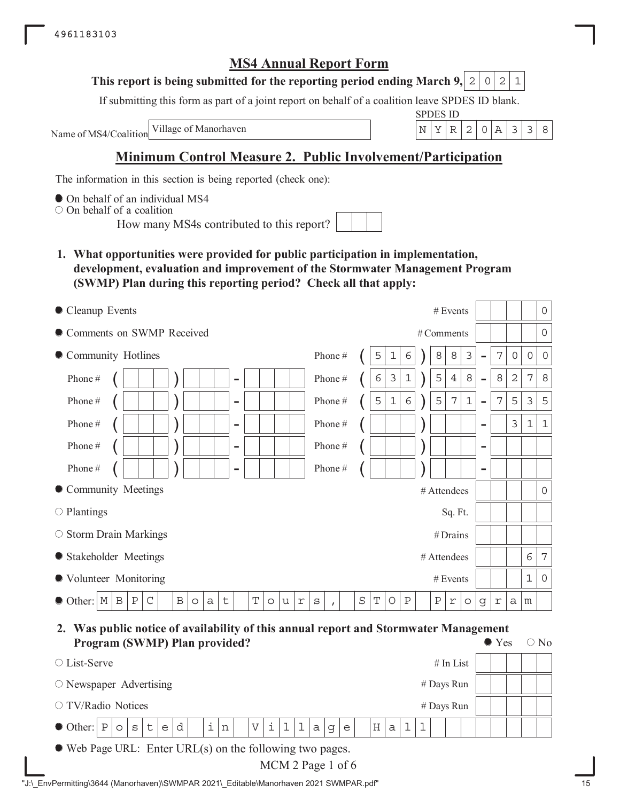## **This report is being submitted for the reporting period ending March 9, 2 0 2 1**

If submitting this form as part of a joint report on behalf of a coalition leave SPDES ID blank.

Name of MS4/Coalition

SPDES ID Village of Manorhaven  $\vert N \vert Y \vert R \vert 2 \vert 0 \vert A \vert 3 \vert 3 \vert 8$ 

# **Minimum Control Measure 2. Public Involvement/Participation**

The information in this section is being reported (check one):

 $\bullet$  On behalf of an individual MS4

On behalf of a coalition

How many MS4s contributed to this report?

**1. What opportunities were provided for public participation in implementation, development, evaluation and improvement of the Stormwater Management Program (SWMP) Plan during this reporting period? Check all that apply:**

| Cleanup Events                                                                                                                                               |                         | # Events<br>$\mathsf{O}\xspace$                                                                       |
|--------------------------------------------------------------------------------------------------------------------------------------------------------------|-------------------------|-------------------------------------------------------------------------------------------------------|
| Comments on SWMP Received                                                                                                                                    |                         | $\mathsf{O}$<br># Comments                                                                            |
| Community Hotlines                                                                                                                                           | Phone#                  | 8<br>3<br>7<br>5<br>8<br>1<br>6<br>$\overline{0}$<br>$\overline{0}$<br>0<br>$\overline{\phantom{0}}$  |
| Phone#<br>$\overline{\phantom{0}}$                                                                                                                           | Phone#                  | 3<br>5<br>8<br>8<br>$\mathbf 2$<br>7<br>8<br>$1\,$<br>$\overline{4}$<br>6<br>$\overline{\phantom{0}}$ |
| Phone#<br>$\qquad \qquad$                                                                                                                                    | Phone#                  | $\epsilon$<br>5<br>7<br>5<br>5<br>7<br>$1\,$<br>3<br>5<br>$\mathbf 1$<br>$\overline{a}$               |
| Phone#<br>$\overline{a}$                                                                                                                                     | Phone#                  | $\mathfrak{Z}$<br>$\mathbf{1}$<br>$\mathbf 1$<br>$\overline{\phantom{0}}$                             |
| Phone#<br>$\overline{\phantom{0}}$                                                                                                                           | Phone#                  | $\overline{\phantom{0}}$                                                                              |
| Phone#<br>۰                                                                                                                                                  | Phone#                  | $\overline{\phantom{0}}$                                                                              |
| • Community Meetings                                                                                                                                         |                         | $#$ Attendees<br>$\overline{0}$                                                                       |
| $\circ$ Plantings                                                                                                                                            |                         | Sq. Ft.                                                                                               |
| $\circ$ Storm Drain Markings                                                                                                                                 |                         | #Drains                                                                                               |
| • Stakeholder Meetings                                                                                                                                       |                         | 7<br>6<br># Attendees                                                                                 |
| ● Volunteer Monitoring                                                                                                                                       |                         | 1<br>$\circ$<br># Events                                                                              |
| T<br>$\, {\bf B}$<br>$\, {\bf P}$<br>$\, {\bf B}$<br>$\mathbb M$<br>$\mathsf C$<br>$\sf t$<br>Other:<br>$\Upsilon$<br>$\circ$<br>$\mathsf a$<br>u<br>$\circ$ | $\rm s$<br>$\mathbf{I}$ | $\rm S$<br>T<br>Ρ<br>$\, {\bf P}$<br>O<br>r<br>$\circ$<br>g<br>$\Upsilon$<br>а<br>m                   |

**2. Was public notice of availability of this annual report and Stormwater Management Program (SWMP) Plan provided?**  $\bullet$  Yes  $\circ$  No

| $\circ$ List-Serve                                                   |                                                |  |  |  |  |              |  |  |     |  |             |  |         |              |              |          |   |   |   |  | $#$ In List |  |  |  |  |
|----------------------------------------------------------------------|------------------------------------------------|--|--|--|--|--------------|--|--|-----|--|-------------|--|---------|--------------|--------------|----------|---|---|---|--|-------------|--|--|--|--|
| $\circ$ Newspaper Advertising                                        |                                                |  |  |  |  |              |  |  |     |  |             |  |         |              |              |          |   |   |   |  |             |  |  |  |  |
|                                                                      | # Days Run<br>○ TV/Radio Notices<br># Days Run |  |  |  |  |              |  |  |     |  |             |  |         |              |              |          |   |   |   |  |             |  |  |  |  |
| $\bullet$ Other: $\vert P \vert \circ \vert s \vert t \vert e \vert$ |                                                |  |  |  |  | $\mathbf{d}$ |  |  | i n |  | $ V $ i $ $ |  | $\perp$ | $\mathbf{1}$ | $\mathsf{a}$ | $\sigma$ | e | Η | a |  |             |  |  |  |  |
| $\bullet$ Web Page URL: Enter URL(s) on the following two pages.     |                                                |  |  |  |  |              |  |  |     |  |             |  |         |              |              |          |   |   |   |  |             |  |  |  |  |

MCM 2 Page 1 of 6

|  | "J:\ EnvPermitting\3644 (Manorhaven)\SWMPAR 2021\ Editable\Manorhaven 2021 SWMPAR.pdf" |  |
|--|----------------------------------------------------------------------------------------|--|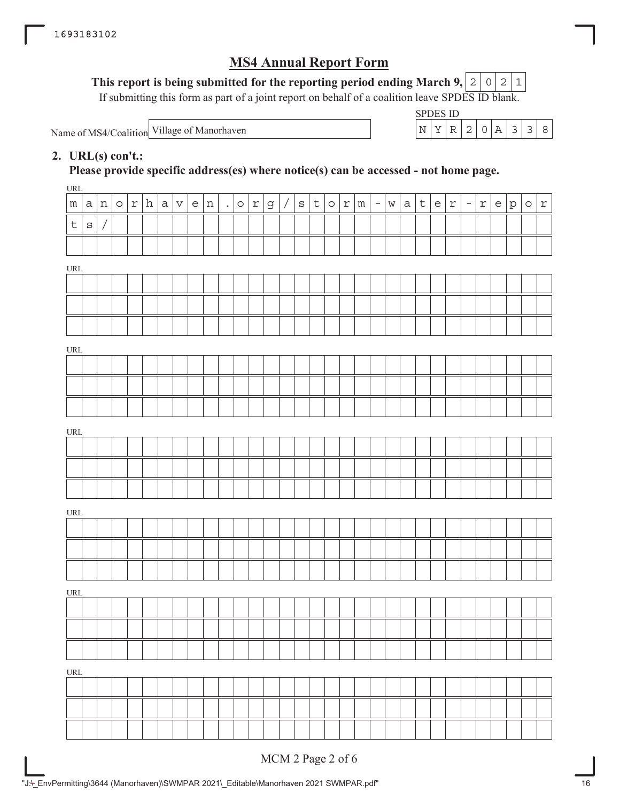## This report is being submitted for the reporting period ending March 9,  $\mid$  2  $\mid$  0  $\mid$  2  $\mid$  1

If submitting this form as part of a joint report on behalf of a coalition leave SPDES ID blank.

Name of MS4/Coalition Village of Manorhaven

| ЧP | י ונו | NH). |  |  |  |
|----|-------|------|--|--|--|
|    | –     |      |  |  |  |

## **2. URL(s) con't.:**

**Please provide specific address(es) where notice(s) can be accessed - not home page.**

| URL                                |         |          |         |     |   |              |     |                |         |            |             |            |              |                               |         |         |          |             |              |                  |   |            |          |            |                                   |   |         |              |
|------------------------------------|---------|----------|---------|-----|---|--------------|-----|----------------|---------|------------|-------------|------------|--------------|-------------------------------|---------|---------|----------|-------------|--------------|------------------|---|------------|----------|------------|-----------------------------------|---|---------|--------------|
| ${\mathfrak m}$                    |         | a n      | $\circ$ | r h | a | $\mathbf{V}$ | e n | $\mathbb{Z}^2$ | $\circ$ | $\Upsilon$ | $\mathsf d$ | $\sqrt{ }$ | $\mathtt{s}$ | $\lfloor \frac{1}{2} \rfloor$ | $\circ$ | $ r $ m | $\equiv$ | $\mathbf W$ | $\mathsf{a}$ | $ \t\mathtt{t} $ | e | $\Upsilon$ | $\equiv$ | $\Upsilon$ | $\mathsf{e}% _{t}\left( t\right)$ | p | $\circ$ | $\mathtt{r}$ |
| $\mathsf{t}$                       | $\rm s$ | $\bigg/$ |         |     |   |              |     |                |         |            |             |            |              |                               |         |         |          |             |              |                  |   |            |          |            |                                   |   |         |              |
|                                    |         |          |         |     |   |              |     |                |         |            |             |            |              |                               |         |         |          |             |              |                  |   |            |          |            |                                   |   |         |              |
| URL                                |         |          |         |     |   |              |     |                |         |            |             |            |              |                               |         |         |          |             |              |                  |   |            |          |            |                                   |   |         |              |
|                                    |         |          |         |     |   |              |     |                |         |            |             |            |              |                               |         |         |          |             |              |                  |   |            |          |            |                                   |   |         |              |
|                                    |         |          |         |     |   |              |     |                |         |            |             |            |              |                               |         |         |          |             |              |                  |   |            |          |            |                                   |   |         |              |
|                                    |         |          |         |     |   |              |     |                |         |            |             |            |              |                               |         |         |          |             |              |                  |   |            |          |            |                                   |   |         |              |
| URL                                |         |          |         |     |   |              |     |                |         |            |             |            |              |                               |         |         |          |             |              |                  |   |            |          |            |                                   |   |         |              |
|                                    |         |          |         |     |   |              |     |                |         |            |             |            |              |                               |         |         |          |             |              |                  |   |            |          |            |                                   |   |         |              |
|                                    |         |          |         |     |   |              |     |                |         |            |             |            |              |                               |         |         |          |             |              |                  |   |            |          |            |                                   |   |         |              |
|                                    |         |          |         |     |   |              |     |                |         |            |             |            |              |                               |         |         |          |             |              |                  |   |            |          |            |                                   |   |         |              |
|                                    |         |          |         |     |   |              |     |                |         |            |             |            |              |                               |         |         |          |             |              |                  |   |            |          |            |                                   |   |         |              |
| URL                                |         |          |         |     |   |              |     |                |         |            |             |            |              |                               |         |         |          |             |              |                  |   |            |          |            |                                   |   |         |              |
|                                    |         |          |         |     |   |              |     |                |         |            |             |            |              |                               |         |         |          |             |              |                  |   |            |          |            |                                   |   |         |              |
|                                    |         |          |         |     |   |              |     |                |         |            |             |            |              |                               |         |         |          |             |              |                  |   |            |          |            |                                   |   |         |              |
|                                    |         |          |         |     |   |              |     |                |         |            |             |            |              |                               |         |         |          |             |              |                  |   |            |          |            |                                   |   |         |              |
| URL                                |         |          |         |     |   |              |     |                |         |            |             |            |              |                               |         |         |          |             |              |                  |   |            |          |            |                                   |   |         |              |
|                                    |         |          |         |     |   |              |     |                |         |            |             |            |              |                               |         |         |          |             |              |                  |   |            |          |            |                                   |   |         |              |
|                                    |         |          |         |     |   |              |     |                |         |            |             |            |              |                               |         |         |          |             |              |                  |   |            |          |            |                                   |   |         |              |
|                                    |         |          |         |     |   |              |     |                |         |            |             |            |              |                               |         |         |          |             |              |                  |   |            |          |            |                                   |   |         |              |
| URL                                |         |          |         |     |   |              |     |                |         |            |             |            |              |                               |         |         |          |             |              |                  |   |            |          |            |                                   |   |         |              |
|                                    |         |          |         |     |   |              |     |                |         |            |             |            |              |                               |         |         |          |             |              |                  |   |            |          |            |                                   |   |         |              |
|                                    |         |          |         |     |   |              |     |                |         |            |             |            |              |                               |         |         |          |             |              |                  |   |            |          |            |                                   |   |         |              |
|                                    |         |          |         |     |   |              |     |                |         |            |             |            |              |                               |         |         |          |             |              |                  |   |            |          |            |                                   |   |         |              |
| $\ensuremath{\mathsf{URL}}\xspace$ |         |          |         |     |   |              |     |                |         |            |             |            |              |                               |         |         |          |             |              |                  |   |            |          |            |                                   |   |         |              |
|                                    |         |          |         |     |   |              |     |                |         |            |             |            |              |                               |         |         |          |             |              |                  |   |            |          |            |                                   |   |         |              |
|                                    |         |          |         |     |   |              |     |                |         |            |             |            |              |                               |         |         |          |             |              |                  |   |            |          |            |                                   |   |         |              |
|                                    |         |          |         |     |   |              |     |                |         |            |             |            |              |                               |         |         |          |             |              |                  |   |            |          |            |                                   |   |         |              |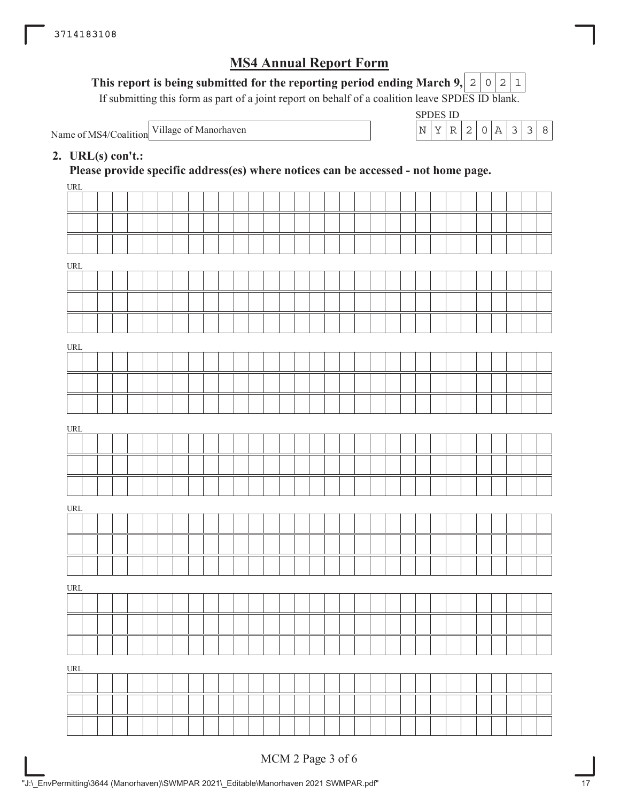## This report is being submitted for the reporting period ending March 9,  $\mid$  2  $\mid$  0  $\mid$  2  $\mid$  1

If submitting this form as part of a joint report on behalf of a coalition leave SPDES ID blank.

Name of MS4/Coalition

SPDES ID Village of Manorhaven  $\vert N \vert Y \vert R \vert 2 \vert 0 \vert A \vert 3 \vert 3 \vert 8$ 

## **2. URL(s) con't.:**

**Please provide specific address(es) where notices can be accessed - not home page.**

| URL                              |  |  |  |  |  |  |  |  |  |  |  |  |  |  |  |  |
|----------------------------------|--|--|--|--|--|--|--|--|--|--|--|--|--|--|--|--|
|                                  |  |  |  |  |  |  |  |  |  |  |  |  |  |  |  |  |
|                                  |  |  |  |  |  |  |  |  |  |  |  |  |  |  |  |  |
|                                  |  |  |  |  |  |  |  |  |  |  |  |  |  |  |  |  |
| URL                              |  |  |  |  |  |  |  |  |  |  |  |  |  |  |  |  |
|                                  |  |  |  |  |  |  |  |  |  |  |  |  |  |  |  |  |
|                                  |  |  |  |  |  |  |  |  |  |  |  |  |  |  |  |  |
|                                  |  |  |  |  |  |  |  |  |  |  |  |  |  |  |  |  |
|                                  |  |  |  |  |  |  |  |  |  |  |  |  |  |  |  |  |
| URL                              |  |  |  |  |  |  |  |  |  |  |  |  |  |  |  |  |
|                                  |  |  |  |  |  |  |  |  |  |  |  |  |  |  |  |  |
|                                  |  |  |  |  |  |  |  |  |  |  |  |  |  |  |  |  |
|                                  |  |  |  |  |  |  |  |  |  |  |  |  |  |  |  |  |
| URL                              |  |  |  |  |  |  |  |  |  |  |  |  |  |  |  |  |
|                                  |  |  |  |  |  |  |  |  |  |  |  |  |  |  |  |  |
|                                  |  |  |  |  |  |  |  |  |  |  |  |  |  |  |  |  |
|                                  |  |  |  |  |  |  |  |  |  |  |  |  |  |  |  |  |
|                                  |  |  |  |  |  |  |  |  |  |  |  |  |  |  |  |  |
| URL                              |  |  |  |  |  |  |  |  |  |  |  |  |  |  |  |  |
|                                  |  |  |  |  |  |  |  |  |  |  |  |  |  |  |  |  |
|                                  |  |  |  |  |  |  |  |  |  |  |  |  |  |  |  |  |
|                                  |  |  |  |  |  |  |  |  |  |  |  |  |  |  |  |  |
| URL                              |  |  |  |  |  |  |  |  |  |  |  |  |  |  |  |  |
|                                  |  |  |  |  |  |  |  |  |  |  |  |  |  |  |  |  |
|                                  |  |  |  |  |  |  |  |  |  |  |  |  |  |  |  |  |
|                                  |  |  |  |  |  |  |  |  |  |  |  |  |  |  |  |  |
|                                  |  |  |  |  |  |  |  |  |  |  |  |  |  |  |  |  |
| $\ensuremath{\text{URL}}\xspace$ |  |  |  |  |  |  |  |  |  |  |  |  |  |  |  |  |
|                                  |  |  |  |  |  |  |  |  |  |  |  |  |  |  |  |  |
|                                  |  |  |  |  |  |  |  |  |  |  |  |  |  |  |  |  |
|                                  |  |  |  |  |  |  |  |  |  |  |  |  |  |  |  |  |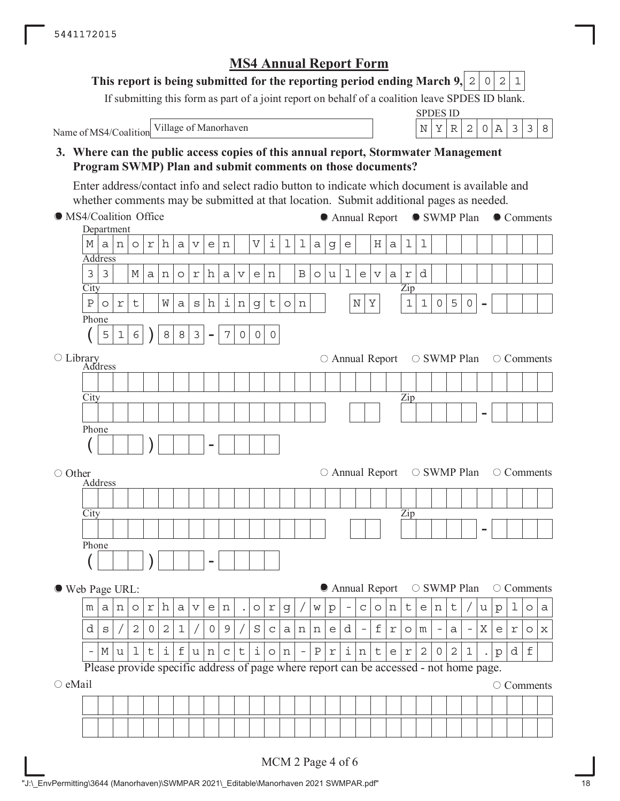## **This report is being submitted for the reporting period ending March 9, 2 0 2 1**

If submitting this form as part of a joint report on behalf of a coalition leave SPDES ID blank.

Name of MS4/Coalition

SPDES ID Village of Manorhaven  $\vert N \vert Y \vert R \vert 2 \vert 0 \vert A \vert 3 \vert 3 \vert 8$ 

**3. Where can the public access copies of this annual report, Stormwater Management Program SWMP) Plan and submit comments on those documents?**

Enter address/contact info and select radio button to indicate which document is available and whether comments may be submitted at that location. Submit additional pages as needed.

**City** Department Address Zip - Phone  $(|5|1|6|)|8|8|3|$ **City** Address Library Zip - Phone ( ) - **City** Address Zip - Phone ( ) - MS4/Coalition Office ○ Other Web Page URL:  $\circ$  eMail Please provide specific address of page where report can be accessed - not home page. ● Annual Report ● SWMP Plan ● Comments  $\circ$  Annual Report  $\circ$  SWMP Plan  $\circ$  Comments  $\circ$  Annual Report  $\circ$  SWMP Plan  $\circ$  Comments  $\bullet$  Annual Report  $\circ$  SWMP Plan  $\circ$  Comments O Comments M|a|n|o|r|h|a|v|e|n| |V|i|l|l|a|g|e| |H|a|l|l  $3|3|$   $|M|a|n|o|r|h|a|v|e|n|$   $|B|o|u|1|e|v|a|r|d$  $P|o|r|t|$  |W|a|s|h|i|n|g|t|o|n| | |N|Y| |1|1|0|5|0  $5|1|6|$  )  $|8|8|3|$  -  $|7|0|0|0$  $m |a|n|o|r|h|a|v|e|n|$  .  $|o|r|g|/|w|p|$  -  $|c|o|n|t|e|n|t|/|u|p|1|o|a$ d  $|s|/|2|0|2|1|/|0|9|/|S|c|a|n|n|e|d|$  -  $|f|r|o|m|$  -  $|a|$  -  $|X|e|r|o|x$  $-$  M | u | 1 | t | i | f | u | n | c | t | i | o | n | - | P | r | i | n | t | e | r | 2 | 0 | 2 | 1 | . | p | d | f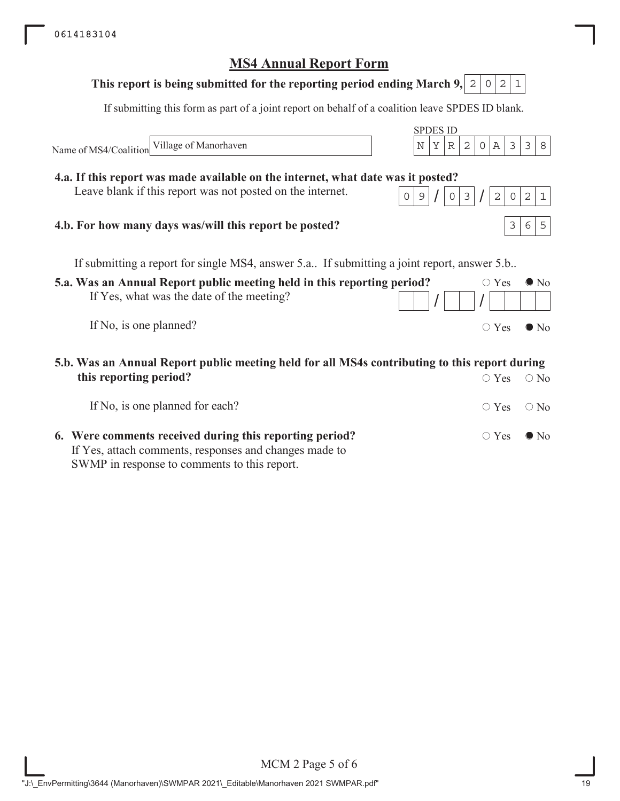# **5.a. Was an Annual Report public meeting held in this reporting period?** If Yes, what was the date of the meeting? If No, is one planned? SPDES ID If submitting this form as part of a joint report on behalf of a coalition leave SPDES ID blank. Name of MS4/Coalition  $\circ$  Yes  $\bullet$  No  $/$   $/$   $/$  $\circ$  Yes  $\bullet$  No If submitting a report for single MS4, answer 5.a.. If submitting a joint report, answer 5.b.. **5.b. Was an Annual Report public meeting held for all MS4s contributing to this report during this reporting period?** If No, is one planned for each?  $\bigcirc$  Yes  $\bigcirc$  No  $\circ$  Yes  $\circ$  No **This report is being submitted for the reporting period ending March 9, 4.a. If this report was made available on the internet, what date was it posted?** Leave blank if this report was not posted on the internet. **4.b. For how many days was/will this report be posted?**  $0|2|1$ Village of Manorhaven  $\vert N \vert Y \vert R \vert 2 \vert 0 \vert A \vert 3 \vert 3 \vert 8$  $0|9|/|03|/|2|0|2|1$ 365

**6. Were comments received during this reporting period?** If Yes, attach comments, responses and changes made to SWMP in response to comments to this report.

# **MS4 Annual Report Form**

 $\circ$  Yes  $\bullet$  No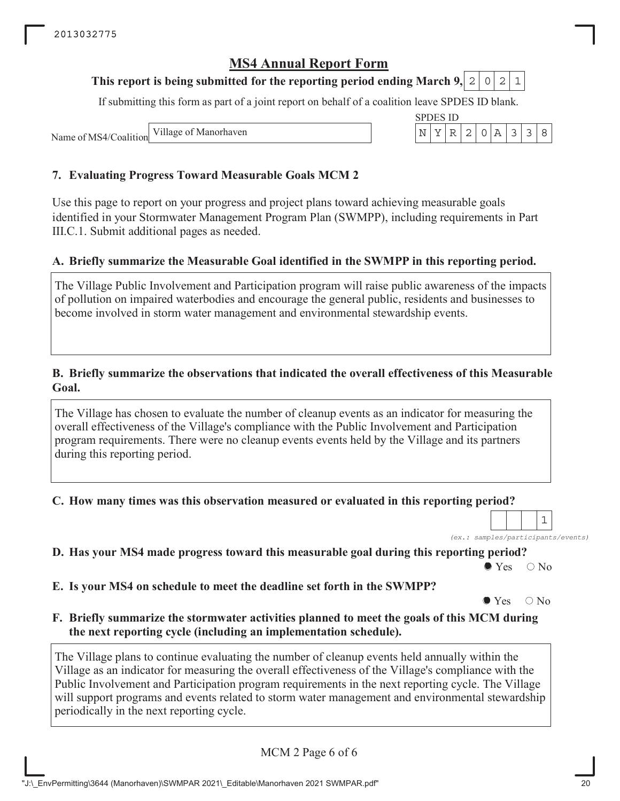## **This report is being submitted for the reporting period ending March 9, 2 0 2 1**

If submitting this form as part of a joint report on behalf of a coalition leave SPDES ID blank.

SPDES ID

Name of MS4/Coalition Village of Manorhaven  $\left|\n\begin{array}{c}\nN \mid Y \mid R \mid 2 \mid 0 \mid A \mid 3 \mid 3\n\end{array}\n\right|$ 

## **7. Evaluating Progress Toward Measurable Goals MCM 2**

Use this page to report on your progress and project plans toward achieving measurable goals identified in your Stormwater Management Program Plan (SWMPP), including requirements in Part III.C.1. Submit additional pages as needed.

## **A. Briefly summarize the Measurable Goal identified in the SWMPP in this reporting period.**

The Village Public Involvement and Participation program will raise public awareness of the impacts of pollution on impaired waterbodies and encourage the general public, residents and businesses to become involved in storm water management and environmental stewardship events.

### **B. Briefly summarize the observations that indicated the overall effectiveness of this Measurable Goal.**

The Village has chosen to evaluate the number of cleanup events as an indicator for measuring the overall effectiveness of the Village's compliance with the Public Involvement and Participation program requirements. There were no cleanup events events held by the Village and its partners during this reporting period.

**C. How many times was this observation measured or evaluated in this reporting period?**

*(ex.: samples/participants/events)* 1

**D. Has your MS4 made progress toward this measurable goal during this reporting period?**

 $\bullet$  Yes  $\circ$  No

**E. Is your MS4 on schedule to meet the deadline set forth in the SWMPP?**

 $\bullet$  Yes  $\circ$  No

**F. Briefly summarize the stormwater activities planned to meet the goals of this MCM during the next reporting cycle (including an implementation schedule).**

The Village plans to continue evaluating the number of cleanup events held annually within the Village as an indicator for measuring the overall effectiveness of the Village's compliance with the Public Involvement and Participation program requirements in the next reporting cycle. The Village will support programs and events related to storm water management and environmental stewardship periodically in the next reporting cycle.

MCM 2 Page 6 of 6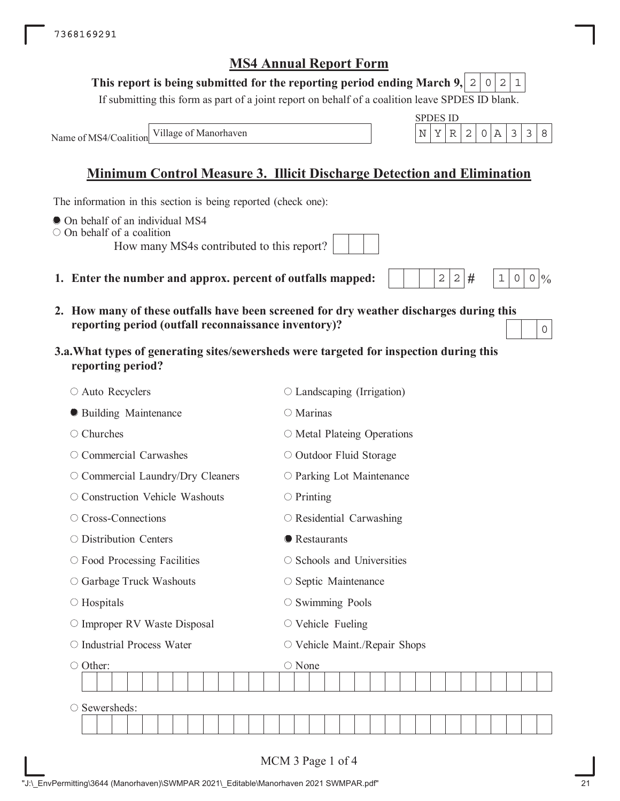#### **This report is being submitted for the reporting period ending March 9,**  $0|2|1$

If submitting this form as part of a joint report on behalf of a coalition leave SPDES ID blank.

SPDES ID

 $2 | 2 |$ #

 $1 \, | \, 0 \, | \, 0 \, | \, 0$ 

0

Name of MS4/Coalition Village of Manorhaven  $\vert N \vert Y \vert R \vert 2 \vert 0 \vert A \vert 3 \vert 3 \vert 8$ 

# **Minimum Control Measure 3. Illicit Discharge Detection and Elimination**

The information in this section is being reported (check one):

- $\bullet$  On behalf of an individual MS4
- On behalf of a coalition

How many MS4s contributed to this report?

- **1. Enter the number and approx. percent of outfalls mapped:**
- **2. How many of these outfalls have been screened for dry weather discharges during this reporting period (outfall reconnaissance inventory)?**
- **3.a.What types of generating sites/sewersheds were targeted for inspection during this reporting period?**

| ○ Auto Recyclers                   | $\circ$ Landscaping (Irrigation)                |
|------------------------------------|-------------------------------------------------|
| <b>• Building Maintenance</b>      | O Marinas                                       |
| $\circ$ Churches                   | $\circ$ Metal Plateing Operations               |
| $\circ$ Commercial Carwashes       | ○ Outdoor Fluid Storage                         |
| O Commercial Laundry/Dry Cleaners  | O Parking Lot Maintenance                       |
| ○ Construction Vehicle Washouts    | $\circ$ Printing                                |
| ○ Cross-Connections                | $\circ$ Residential Carwashing                  |
| $\circ$ Distribution Centers       | <b>•</b> Restaurants                            |
| $\circ$ Food Processing Facilities | ○ Schools and Universities                      |
| ○ Garbage Truck Washouts           | ○ Septic Maintenance                            |
| $\circ$ Hospitals                  | $\circ$ Swimming Pools                          |
| O Improper RV Waste Disposal       | $\circ$ Vehicle Fueling                         |
| ○ Industrial Process Water         | $\circlearrowright$ Vehicle Maint./Repair Shops |
| ○ Other:                           | ○ None                                          |
|                                    |                                                 |
| Sewersheds:                        |                                                 |
|                                    |                                                 |
|                                    | MCM 3 Page 1 of 4                               |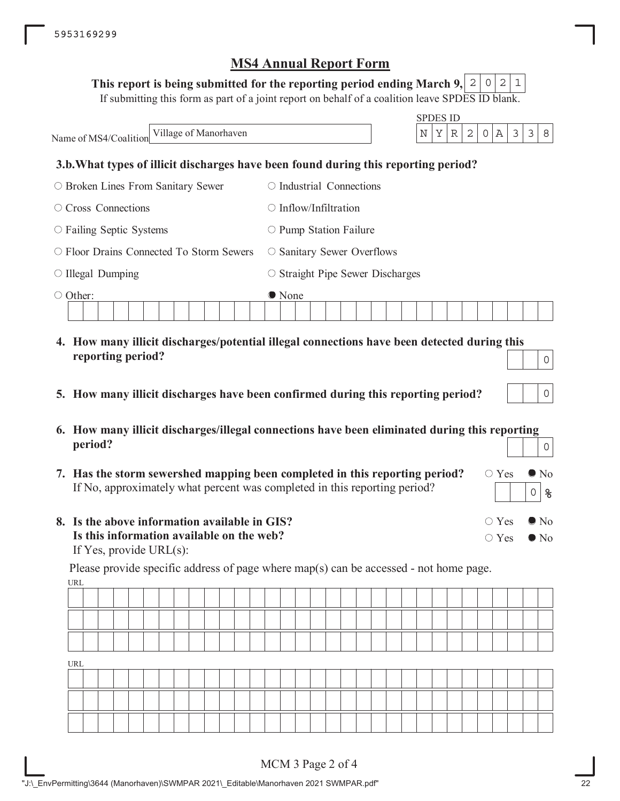## This report is being submitted for the reporting period ending March 9,  $\mid$  2  $\mid$  0  $\mid$  2  $\mid$  1

If submitting this form as part of a joint report on behalf of a coalition leave SPDES ID blank.

|                                                | <b>SPDES ID</b>                                                                             |
|------------------------------------------------|---------------------------------------------------------------------------------------------|
| Village of Manorhaven<br>Name of MS4/Coalition | 3<br>3<br>Υ<br>2<br>$\mathbb A$<br>N<br>R<br>$\circ$<br>8                                   |
|                                                | 3.b. What types of illicit discharges have been found during this reporting period?         |
| $\circ$ Broken Lines From Sanitary Sewer       | $\circ$ Industrial Connections                                                              |
| Cross Connections<br>$\left(\right)$           | $\bigcirc$ Inflow/Infiltration                                                              |
| $\circ$ Failing Septic Systems                 | $\circ$ Pump Station Failure                                                                |
| $\circ$ Floor Drains Connected To Storm Sewers | $\circ$ Sanitary Sewer Overflows                                                            |
| $\circ$ Illegal Dumping                        | $\circ$ Straight Pipe Sewer Discharges                                                      |
| Other:<br>$\bigcirc$                           | • None                                                                                      |
|                                                |                                                                                             |
|                                                | 4. How many illicit discharges/potential illegal connections have been detected during this |
| reporting period?                              | $\Omega$                                                                                    |

- **5. How many illicit discharges have been confirmed during this reporting period?**
- **6. How many illicit discharges/illegal connections have been eliminated during this reporting period?** 0
- **7. Has the storm sewershed mapping been completed in this reporting period?** If No, approximately what percent was completed in this reporting period?
- **8. Is the above information available in GIS? Is this information available on the web?** If Yes, provide URL(s):

URL Please provide specific address of page where map(s) can be accessed - not home page.

| URL |  |  |  |  |  |  |  |  |  |  |  |  |  |  |  |
|-----|--|--|--|--|--|--|--|--|--|--|--|--|--|--|--|
|     |  |  |  |  |  |  |  |  |  |  |  |  |  |  |  |
|     |  |  |  |  |  |  |  |  |  |  |  |  |  |  |  |
|     |  |  |  |  |  |  |  |  |  |  |  |  |  |  |  |

 $\circ$  Yes  $\bullet$  No

 $\circ$  Yes  $\bullet$  No

 $\bigcirc$  Yes  $\bigcirc$  No

**%**

0

0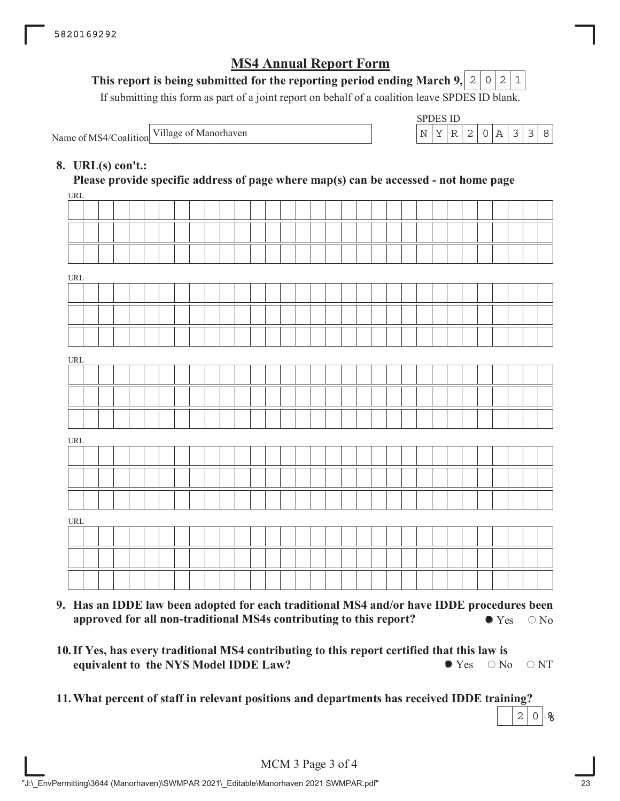## This report is being submitted for the reporting period ending March 9,  $\mid$  2  $\mid$  0  $\mid$  2  $\mid$  1

If submitting this form as part of a joint report on behalf of a coalition leave SPDES ID blank.

Name of MS4/Coalition Village of Manorhaven

| SPDES ID. |  |    |                  |  |  |
|-----------|--|----|------------------|--|--|
|           |  | 21 | $\left( \right)$ |  |  |

## **8. URL(s) con't.:**

 $IDI$ **Please provide specific address of page where map(s) can be accessed - not home page**

| UKL                                |  |  |  |  |  |  |  |  |  |  |  |  |  |  |  |  |
|------------------------------------|--|--|--|--|--|--|--|--|--|--|--|--|--|--|--|--|
|                                    |  |  |  |  |  |  |  |  |  |  |  |  |  |  |  |  |
|                                    |  |  |  |  |  |  |  |  |  |  |  |  |  |  |  |  |
|                                    |  |  |  |  |  |  |  |  |  |  |  |  |  |  |  |  |
| URL                                |  |  |  |  |  |  |  |  |  |  |  |  |  |  |  |  |
|                                    |  |  |  |  |  |  |  |  |  |  |  |  |  |  |  |  |
|                                    |  |  |  |  |  |  |  |  |  |  |  |  |  |  |  |  |
|                                    |  |  |  |  |  |  |  |  |  |  |  |  |  |  |  |  |
|                                    |  |  |  |  |  |  |  |  |  |  |  |  |  |  |  |  |
| URL                                |  |  |  |  |  |  |  |  |  |  |  |  |  |  |  |  |
|                                    |  |  |  |  |  |  |  |  |  |  |  |  |  |  |  |  |
|                                    |  |  |  |  |  |  |  |  |  |  |  |  |  |  |  |  |
|                                    |  |  |  |  |  |  |  |  |  |  |  |  |  |  |  |  |
|                                    |  |  |  |  |  |  |  |  |  |  |  |  |  |  |  |  |
| URL                                |  |  |  |  |  |  |  |  |  |  |  |  |  |  |  |  |
|                                    |  |  |  |  |  |  |  |  |  |  |  |  |  |  |  |  |
|                                    |  |  |  |  |  |  |  |  |  |  |  |  |  |  |  |  |
|                                    |  |  |  |  |  |  |  |  |  |  |  |  |  |  |  |  |
| $\ensuremath{\mathsf{URL}}\xspace$ |  |  |  |  |  |  |  |  |  |  |  |  |  |  |  |  |
|                                    |  |  |  |  |  |  |  |  |  |  |  |  |  |  |  |  |
|                                    |  |  |  |  |  |  |  |  |  |  |  |  |  |  |  |  |
|                                    |  |  |  |  |  |  |  |  |  |  |  |  |  |  |  |  |
|                                    |  |  |  |  |  |  |  |  |  |  |  |  |  |  |  |  |
|                                    |  |  |  |  |  |  |  |  |  |  |  |  |  |  |  |  |

- **9. Has an IDDE law been adopted for each traditional MS4 and/or have IDDE procedures been approved for all non-traditional MS4s contributing to this report?**  $\bullet$  Yes  $\circ$  No
- **10. If Yes, has every traditional MS4 contributing to this report certified that this law is equivalent to the NYS Model IDDE Law?**  $\bullet$  Yes  $\circ$  No  $\circ$  NT
- **11.What percent of staff in relevant positions and departments has received IDDE training?**

**%**  $2 \mid 0$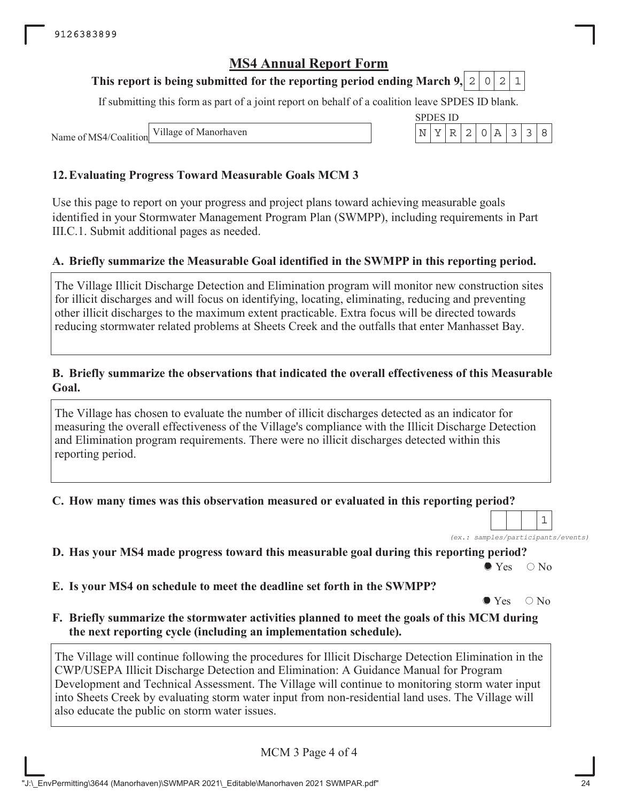## **This report is being submitted for the reporting period ending March 9, 2 0 2 1**

If submitting this form as part of a joint report on behalf of a coalition leave SPDES ID blank.

SPDES ID

Name of MS4/Coalition Village of Manorhaven  $\left|\n\begin{array}{c}\nN \mid Y \mid R \mid 2 \mid 0 \mid A \mid 3 \mid 3\n\end{array}\n\right|$ 

## **12.Evaluating Progress Toward Measurable Goals MCM 3**

Use this page to report on your progress and project plans toward achieving measurable goals identified in your Stormwater Management Program Plan (SWMPP), including requirements in Part III.C.1. Submit additional pages as needed.

## **A. Briefly summarize the Measurable Goal identified in the SWMPP in this reporting period.**

The Village Illicit Discharge Detection and Elimination program will monitor new construction sites for illicit discharges and will focus on identifying, locating, eliminating, reducing and preventing other illicit discharges to the maximum extent practicable. Extra focus will be directed towards reducing stormwater related problems at Sheets Creek and the outfalls that enter Manhasset Bay.

### **B. Briefly summarize the observations that indicated the overall effectiveness of this Measurable Goal.**

The Village has chosen to evaluate the number of illicit discharges detected as an indicator for measuring the overall effectiveness of the Village's compliance with the Illicit Discharge Detection and Elimination program requirements. There were no illicit discharges detected within this reporting period.

**C. How many times was this observation measured or evaluated in this reporting period?**

*(ex.: samples/participants/events)* 1

**D. Has your MS4 made progress toward this measurable goal during this reporting period?**

 $\bullet$  Yes  $\circ$  No

**E. Is your MS4 on schedule to meet the deadline set forth in the SWMPP?**

 $\bullet$  Yes  $\circ$  No

**F. Briefly summarize the stormwater activities planned to meet the goals of this MCM during the next reporting cycle (including an implementation schedule).**

The Village will continue following the procedures for Illicit Discharge Detection Elimination in the CWP/USEPA Illicit Discharge Detection and Elimination: A Guidance Manual for Program Development and Technical Assessment. The Village will continue to monitoring storm water input into Sheets Creek by evaluating storm water input from non-residential land uses. The Village will also educate the public on storm water issues.

MCM 3 Page 4 of 4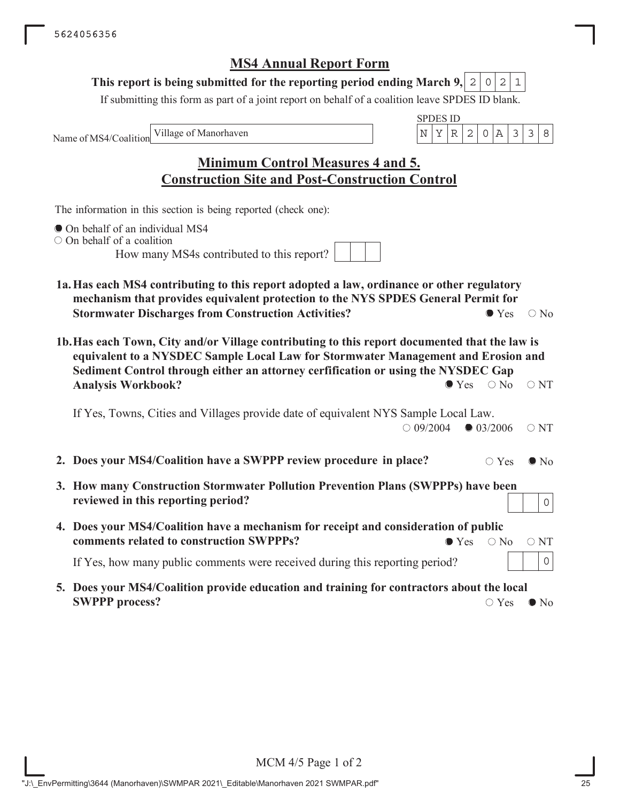## This report is being submitted for the reporting period ending March 9,  $\mid$  2  $\mid$  0  $\mid$  2  $\mid$  1

If submitting this form as part of a joint report on behalf of a coalition leave SPDES ID blank.

Name of MS4/Coalition

SPDES ID Village of Manorhaven  $\vert N \vert Y \vert R \vert 2 \vert 0 \vert A \vert 3 \vert 3 \vert 8$ 

**Minimum Control Measures 4 and 5. Construction Site and Post-Construction Control**

The information in this section is being reported (check one):

- $\bullet$  On behalf of an individual MS4
- On behalf of a coalition

How many MS4s contributed to this report?

- **1a.Has each MS4 contributing to this report adopted a law, ordinance or other regulatory mechanism that provides equivalent protection to the NYS SPDES General Permit for Stormwater Discharges from Construction Activities?**  $\bullet$  Yes  $\circ$  No
- **1b.Has each Town, City and/or Village contributing to this report documented that the law is equivalent to a NYSDEC Sample Local Law for Stormwater Management and Erosion and Sediment Control through either an attorney cerfification or using the NYSDEC Gap Analysis Workbook?**  $\bullet$  Yes  $\circ$  No  $\circ$  NT

If Yes, Towns, Cities and Villages provide date of equivalent NYS Sample Local Law.  $\bigcirc$  09/2004  $\bigcirc$  03/2006  $\bigcirc$  NT

- **2. Does your MS4/Coalition have a SWPPP review procedure in place?**  $\bigcirc$  Yes  $\bullet$  No
- **3. How many Construction Stormwater Pollution Prevention Plans (SWPPPs) have been reviewed in this reporting period?**
- **4. Does your MS4/Coalition have a mechanism for receipt and consideration of public comments related to construction SWPPPs?**  $\bullet$  Yes  $\circ$  No  $\circ$  NT

If Yes, how many public comments were received during this reporting period?

**5. Does your MS4/Coalition provide education and training for contractors about the local SWPPP process?**  $\circ$  No

0

0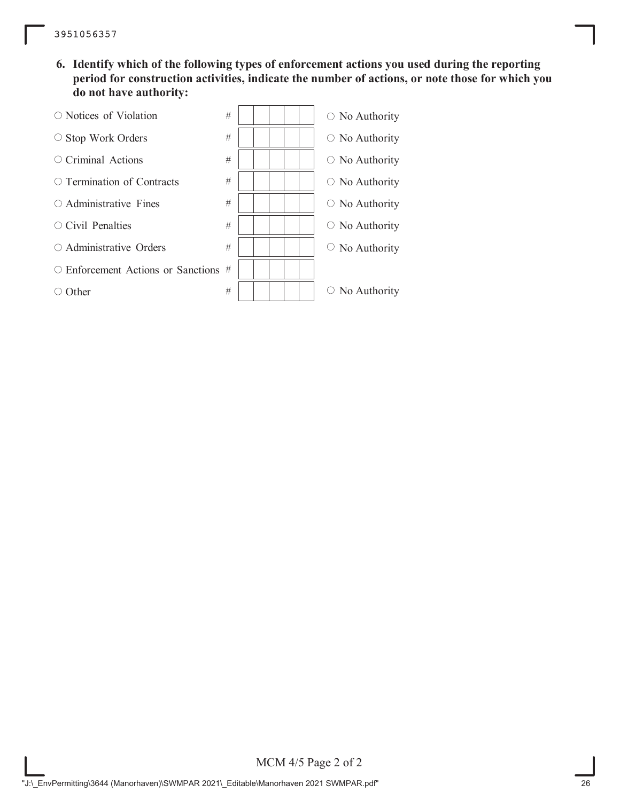**6. Identify which of the following types of enforcement actions you used during the reporting period for construction activities, indicate the number of actions, or note those for which you do not have authority:**

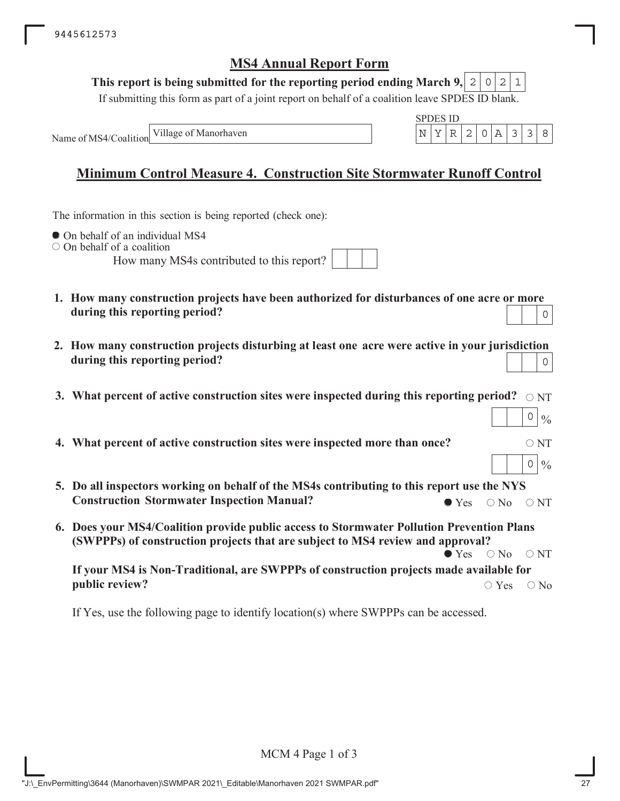### This report is being submitted for the reporting period ending March 9,  $\mid$  2  $\mid$  0  $\mid$  2  $\mid$  1

If submitting this form as part of a joint report on behalf of a coalition leave SPDES ID blank.

Name of MS4/Coalition Village of Manorhaven

|  | чΝ | S 11) |  |  |  |
|--|----|-------|--|--|--|
|  |    |       |  |  |  |

 $0 | 0/6$ 

 $0 | 0/6$ 

# **Minimum Control Measure 4. Construction Site Stormwater Runoff Control**

The information in this section is being reported (check one):

 $\bullet$  On behalf of an individual MS4

 $\circ$  On behalf of a coalition

How many MS4s contributed to this report?

- **1. How many construction projects have been authorized for disturbances of one acre or more during this reporting period?** 0
- **2. How many construction projects disturbing at least one acre were active in your jurisdiction during this reporting period?** 0
- 3. What percent of active construction sites were inspected during this reporting period?  $\,\circ$   $_{\rm NT}$
- **4. What percent of active construction sites were inspected more than once?**  $\circ$  NT
- **5. Do all inspectors working on behalf of the MS4s contributing to this report use the NYS Construction Stormwater Inspection Manual?**  $\bullet$  Yes  $\circ$  No  $\circ$  NT
- **6. Does your MS4/Coalition provide public access to Stormwater Pollution Prevention Plans (SWPPPs) of construction projects that are subject to MS4 review and approval?**  $\bullet$  Yes  $\circ$  No  $\circ$  NT

**If your MS4 is Non-Traditional, are SWPPPs of construction projects made available for public review?**  $\bigcirc$  Yes  $\bigcirc$  No

If Yes, use the following page to identify location(s) where SWPPPs can be accessed.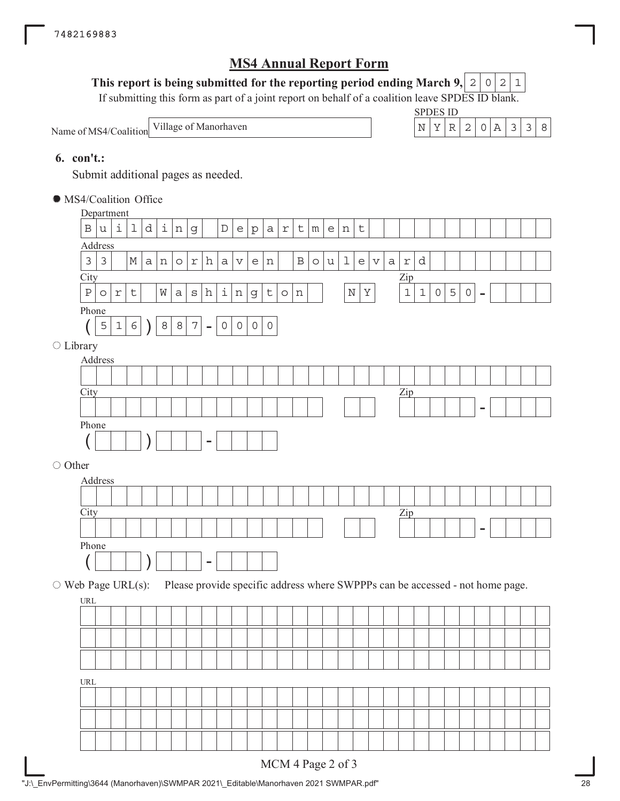## This report is being submitted for the reporting period ending March 9,  $\mid$  2  $\mid$  0  $\mid$  2  $\mid$  1

If submitting this form as part of a joint report on behalf of a coalition leave SPDES ID blank.

| Name of MS4/Coalition Village of Manor. |  |
|-----------------------------------------|--|
|                                         |  |



## **6. con't.:**

Submit additional pages as needed.

MS4/Coalition Office

|                                  | Department     |             |             |     |                    |                |                  |                          |                     |                                   |                                   |              |            |              |         |              |              |         |                           |             |                                                                               |               |              |                |              |                          |  |  |
|----------------------------------|----------------|-------------|-------------|-----|--------------------|----------------|------------------|--------------------------|---------------------|-----------------------------------|-----------------------------------|--------------|------------|--------------|---------|--------------|--------------|---------|---------------------------|-------------|-------------------------------------------------------------------------------|---------------|--------------|----------------|--------------|--------------------------|--|--|
| $\, {\bf B}$                     | u              | i           | $\mathbf 1$ | d   | $\dot{\mathtt{l}}$ | n              | $\mathsf g$      |                          | $\mathbb D$         | $\mathsf{e}% _{t}\left( t\right)$ | $\rm p$                           | $\mathsf{a}$ | $\Upsilon$ | $\mathsf t$  | m       | $\mathsf{e}$ | $\, {\rm n}$ | $\sf t$ |                           |             |                                                                               |               |              |                |              |                          |  |  |
| Address                          |                |             |             |     |                    |                |                  |                          |                     |                                   |                                   |              |            |              |         |              |              |         |                           |             |                                                                               |               |              |                |              |                          |  |  |
| $\mathfrak{Z}$                   | $\mathfrak{Z}$ |             | $\mathbb M$ | a n |                    | $\circ$        | $\Upsilon$       | h                        | $\mathsf a$         | V                                 | $\mathsf{e}% _{t}\left( t\right)$ | $\, {\rm n}$ |            | $\, {\bf B}$ | $\circ$ | $\mathtt{u}$ | $\mathbf 1$  | e       | $\boldsymbol{\mathrm{V}}$ | $\mathsf a$ | $\ensuremath{\mathbf{r}}$                                                     | d             |              |                |              |                          |  |  |
| City                             |                |             |             |     |                    |                |                  |                          |                     |                                   |                                   |              |            |              |         |              |              |         |                           |             | $_{\text{Zip}}$                                                               |               |              |                |              |                          |  |  |
| $\, {\bf P}$                     | $\circ$        | $\Upsilon$  | $\sf t$     |     | $\hbox{W}$         | $\mbox{\tt a}$ | $\rm s$          | $\,$ h                   | $\dot{\mathtt{l}}$  | $\, {\rm n}$                      | g                                 | $\sf t$      | $\circ$    | $\, {\rm n}$ |         |              | $\mathbf N$  | $\rm Y$ |                           |             | $\mathbf 1$                                                                   | $\mathbbm{1}$ | $\mathsf{O}$ | $\overline{5}$ | $\mathsf{O}$ | $\overline{\phantom{a}}$ |  |  |
| Phone                            |                |             |             |     |                    |                |                  |                          |                     |                                   |                                   |              |            |              |         |              |              |         |                           |             |                                                                               |               |              |                |              |                          |  |  |
|                                  | $\mathsf S$    | $\mathbf 1$ | $\epsilon$  |     | $\,8\,$            | $\,8\,$        | $\boldsymbol{7}$ | $\overline{\phantom{a}}$ | $\mathsf{O}\xspace$ | $\circ$                           | $\mathsf{O}$                      | $\mathsf O$  |            |              |         |              |              |         |                           |             |                                                                               |               |              |                |              |                          |  |  |
| ○ Library                        |                |             |             |     |                    |                |                  |                          |                     |                                   |                                   |              |            |              |         |              |              |         |                           |             |                                                                               |               |              |                |              |                          |  |  |
| Address                          |                |             |             |     |                    |                |                  |                          |                     |                                   |                                   |              |            |              |         |              |              |         |                           |             |                                                                               |               |              |                |              |                          |  |  |
|                                  |                |             |             |     |                    |                |                  |                          |                     |                                   |                                   |              |            |              |         |              |              |         |                           |             |                                                                               |               |              |                |              |                          |  |  |
| City                             |                |             |             |     |                    |                |                  |                          |                     |                                   |                                   |              |            |              |         |              |              |         |                           |             | Zip                                                                           |               |              |                |              |                          |  |  |
|                                  |                |             |             |     |                    |                |                  |                          |                     |                                   |                                   |              |            |              |         |              |              |         |                           |             |                                                                               |               |              |                |              | $\overline{a}$           |  |  |
| Phone                            |                |             |             |     |                    |                |                  |                          |                     |                                   |                                   |              |            |              |         |              |              |         |                           |             |                                                                               |               |              |                |              |                          |  |  |
|                                  |                |             |             |     |                    |                |                  | $\overline{\phantom{0}}$ |                     |                                   |                                   |              |            |              |         |              |              |         |                           |             |                                                                               |               |              |                |              |                          |  |  |
| O Other                          |                |             |             |     |                    |                |                  |                          |                     |                                   |                                   |              |            |              |         |              |              |         |                           |             |                                                                               |               |              |                |              |                          |  |  |
| Address                          |                |             |             |     |                    |                |                  |                          |                     |                                   |                                   |              |            |              |         |              |              |         |                           |             |                                                                               |               |              |                |              |                          |  |  |
|                                  |                |             |             |     |                    |                |                  |                          |                     |                                   |                                   |              |            |              |         |              |              |         |                           |             |                                                                               |               |              |                |              |                          |  |  |
| City                             |                |             |             |     |                    |                |                  |                          |                     |                                   |                                   |              |            |              |         |              |              |         |                           |             | Zip                                                                           |               |              |                |              |                          |  |  |
|                                  |                |             |             |     |                    |                |                  |                          |                     |                                   |                                   |              |            |              |         |              |              |         |                           |             |                                                                               |               |              |                |              | $\overline{\phantom{0}}$ |  |  |
| Phone                            |                |             |             |     |                    |                |                  |                          |                     |                                   |                                   |              |            |              |         |              |              |         |                           |             |                                                                               |               |              |                |              |                          |  |  |
|                                  |                |             |             |     |                    |                |                  |                          |                     |                                   |                                   |              |            |              |         |              |              |         |                           |             |                                                                               |               |              |                |              |                          |  |  |
|                                  |                |             |             |     |                    |                |                  | $\overline{\phantom{0}}$ |                     |                                   |                                   |              |            |              |         |              |              |         |                           |             |                                                                               |               |              |                |              |                          |  |  |
|                                  |                |             |             |     |                    |                |                  |                          |                     |                                   |                                   |              |            |              |         |              |              |         |                           |             |                                                                               |               |              |                |              |                          |  |  |
| $\circ$ Web Page URL(s):         |                |             |             |     |                    |                |                  |                          |                     |                                   |                                   |              |            |              |         |              |              |         |                           |             | Please provide specific address where SWPPPs can be accessed - not home page. |               |              |                |              |                          |  |  |
|                                  |                |             |             |     |                    |                |                  |                          |                     |                                   |                                   |              |            |              |         |              |              |         |                           |             |                                                                               |               |              |                |              |                          |  |  |
|                                  |                |             |             |     |                    |                |                  |                          |                     |                                   |                                   |              |            |              |         |              |              |         |                           |             |                                                                               |               |              |                |              |                          |  |  |
|                                  |                |             |             |     |                    |                |                  |                          |                     |                                   |                                   |              |            |              |         |              |              |         |                           |             |                                                                               |               |              |                |              |                          |  |  |
| URL                              |                |             |             |     |                    |                |                  |                          |                     |                                   |                                   |              |            |              |         |              |              |         |                           |             |                                                                               |               |              |                |              |                          |  |  |
|                                  |                |             |             |     |                    |                |                  |                          |                     |                                   |                                   |              |            |              |         |              |              |         |                           |             |                                                                               |               |              |                |              |                          |  |  |
|                                  |                |             |             |     |                    |                |                  |                          |                     |                                   |                                   |              |            |              |         |              |              |         |                           |             |                                                                               |               |              |                |              |                          |  |  |
| $\ensuremath{\text{URL}}\xspace$ |                |             |             |     |                    |                |                  |                          |                     |                                   |                                   |              |            |              |         |              |              |         |                           |             |                                                                               |               |              |                |              |                          |  |  |
|                                  |                |             |             |     |                    |                |                  |                          |                     |                                   |                                   |              |            |              |         |              |              |         |                           |             |                                                                               |               |              |                |              |                          |  |  |
|                                  |                |             |             |     |                    |                |                  |                          |                     |                                   |                                   |              |            |              |         |              |              |         |                           |             |                                                                               |               |              |                |              |                          |  |  |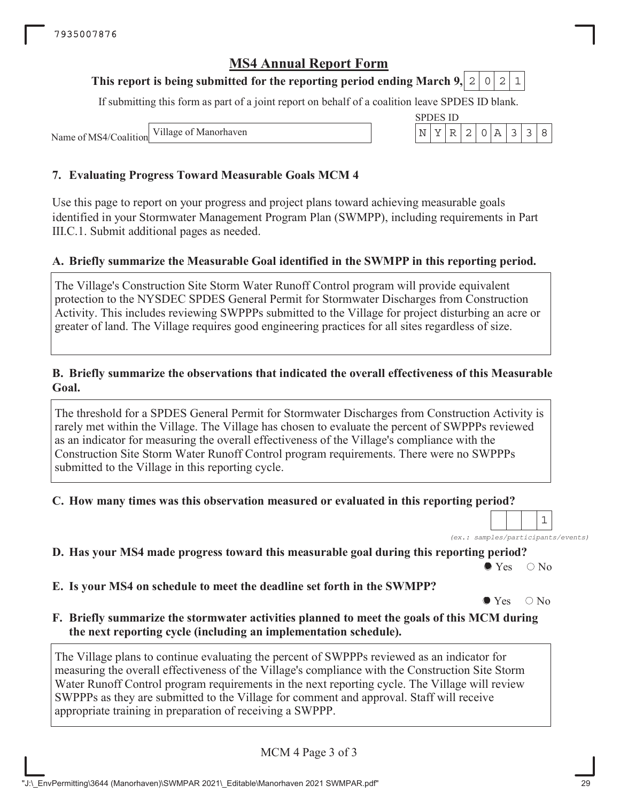## **This report is being submitted for the reporting period ending March 9, 2 0 2 1**

If submitting this form as part of a joint report on behalf of a coalition leave SPDES ID blank.

SPDES ID

Name of MS4/Coalition Village of Manorhaven  $\left|\n\begin{array}{c}\nN \mid Y \mid R \mid 2 \mid 0 \mid A \mid 3 \mid 3\n\end{array}\n\right|$ 

## **7. Evaluating Progress Toward Measurable Goals MCM 4**

Use this page to report on your progress and project plans toward achieving measurable goals identified in your Stormwater Management Program Plan (SWMPP), including requirements in Part III.C.1. Submit additional pages as needed.

## **A. Briefly summarize the Measurable Goal identified in the SWMPP in this reporting period.**

The Village's Construction Site Storm Water Runoff Control program will provide equivalent protection to the NYSDEC SPDES General Permit for Stormwater Discharges from Construction Activity. This includes reviewing SWPPPs submitted to the Village for project disturbing an acre or greater of land. The Village requires good engineering practices for all sites regardless of size.

### **B. Briefly summarize the observations that indicated the overall effectiveness of this Measurable Goal.**

The threshold for a SPDES General Permit for Stormwater Discharges from Construction Activity is rarely met within the Village. The Village has chosen to evaluate the percent of SWPPPs reviewed as an indicator for measuring the overall effectiveness of the Village's compliance with the Construction Site Storm Water Runoff Control program requirements. There were no SWPPPs submitted to the Village in this reporting cycle.

### **C. How many times was this observation measured or evaluated in this reporting period?**

*(ex.: samples/participants/events)* 1

**D. Has your MS4 made progress toward this measurable goal during this reporting period?**

 $\bullet$  Yes  $\circ$  No

**E. Is your MS4 on schedule to meet the deadline set forth in the SWMPP?**

 $\bullet$  Yes  $\circ$  No

**F. Briefly summarize the stormwater activities planned to meet the goals of this MCM during the next reporting cycle (including an implementation schedule).**

The Village plans to continue evaluating the percent of SWPPPs reviewed as an indicator for measuring the overall effectiveness of the Village's compliance with the Construction Site Storm Water Runoff Control program requirements in the next reporting cycle. The Village will review SWPPPs as they are submitted to the Village for comment and approval. Staff will receive appropriate training in preparation of receiving a SWPPP.

MCM 4 Page 3 of 3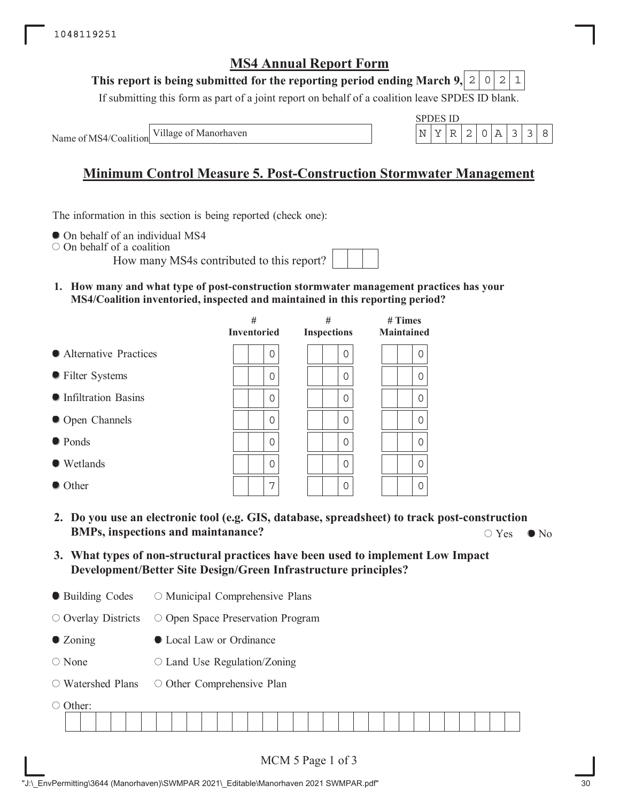#### **This report is being submitted for the reporting period ending March 9,**  $2|0|2$

If submitting this form as part of a joint report on behalf of a coalition leave SPDES ID blank.

Name of MS4/Coalition Village of Manorhaven

|  | . |  |  |  |
|--|---|--|--|--|
|  |   |  |  |  |

# **Minimum Control Measure 5. Post-Construction Stormwater Management**

The information in this section is being reported (check one):

 $\bullet$  On behalf of an individual MS4

On behalf of a coalition

How many MS4s contributed to this report?

**1. How many and what type of post-construction stormwater management practices has your MS4/Coalition inventoried, inspected and maintained in this reporting period?**

|                         | #<br><b>Inventoried</b> | #<br><b>Inspections</b> | $#$ Times<br><b>Maintained</b> |  |  |  |  |
|-------------------------|-------------------------|-------------------------|--------------------------------|--|--|--|--|
| • Alternative Practices | 0                       | $\Omega$                | 0                              |  |  |  |  |
| • Filter Systems        | $\Omega$                | 0                       | 0                              |  |  |  |  |
| • Infiltration Basins   | $\Omega$                | 0                       | 0                              |  |  |  |  |
| • Open Channels         | $\Omega$                | 0                       | $\Omega$                       |  |  |  |  |
| ● Ponds                 | $\Omega$                | 0                       | $\Omega$                       |  |  |  |  |
| • Wetlands              | $\Omega$                | 0                       | 0                              |  |  |  |  |
| $\bullet$ Other         | 7                       | 0                       | $\Omega$                       |  |  |  |  |

- **2. Do you use an electronic tool (e.g. GIS, database, spreadsheet) to track post-construction BMPs, inspections and maintanance?**  $\bigcirc$  Yes  $\bigcirc$  No  $\bigcirc$  Yes  $\bigcirc$  No
- **3. What types of non-structural practices have been used to implement Low Impact Development/Better Site Design/Green Infrastructure principles?**
- Building Codes O Municipal Comprehensive Plans

O Overlay Districts O Open Space Preservation Program

- Zoning Local Law or Ordinance
- None  $\circ$  Land Use Regulation/Zoning
- Watershed Plans O Other Comprehensive Plan

○ Other: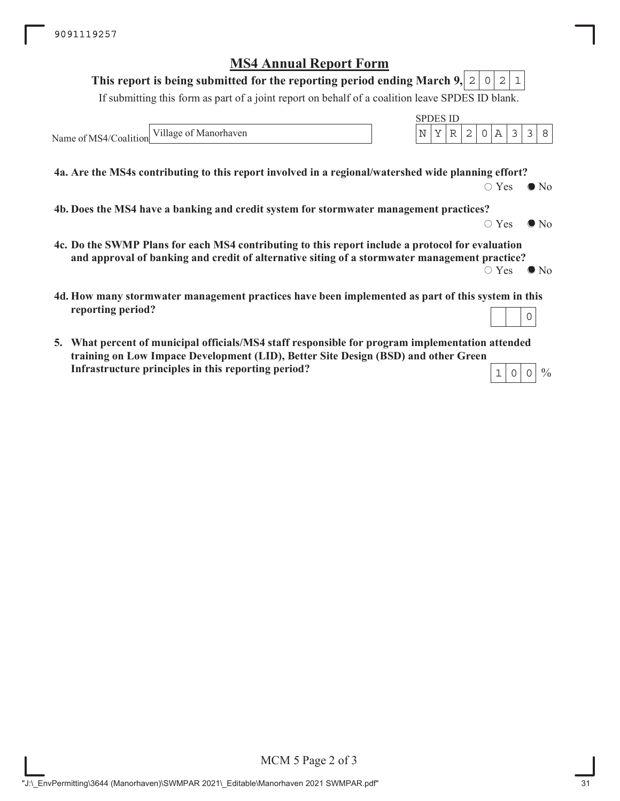#### **This report is being submitted for the reporting period ending March 9,**  $2|0|2|1$

If submitting this form as part of a joint report on behalf of a coalition leave SPDES ID blank.

Name of MS4/Coalition Village of Manorhaven  $\vert N \vert Y \vert R \vert 2 \vert 0 \vert A \vert 3 \vert 3 \vert 8$ 

**4a. Are the MS4s contributing to this report involved in a regional/watershed wide planning effort?**

 $\bigcirc$  Yes  $\bigcirc$  No

SPDES ID

**4b. Does the MS4 have a banking and credit system for stormwater management practices?**

 $\circ$  Yes  $\bullet$  No

 $\frac{0}{0}$ 

- **4c. Do the SWMP Plans for each MS4 contributing to this report include a protocol for evaluation and approval of banking and credit of alternative siting of a stormwater management practice?**  $\circ$  Yes  $\bullet$  No
- **4d. How many stormwater management practices have been implemented as part of this system in this reporting period?** 0
- **5. What percent of municipal officials/MS4 staff responsible for program implementation attended training on Low Impace Development (LID), Better Site Design (BSD) and other Green Infrastructure principles in this reporting period?**  $1|0|0$

MCM 5 Page 2 of 3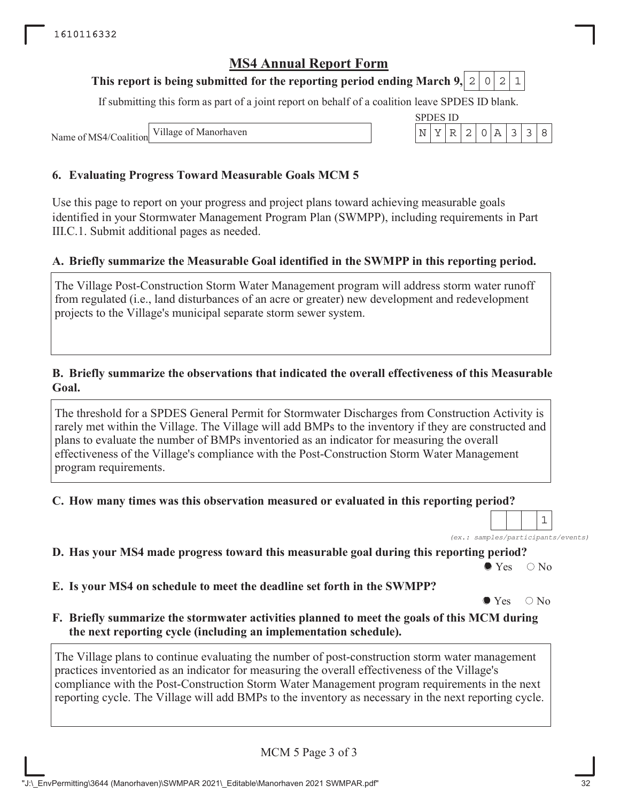## **This report is being submitted for the reporting period ending March 9, 2 0 2 1**

If submitting this form as part of a joint report on behalf of a coalition leave SPDES ID blank.

Name of MS4/Coalition



## **6. Evaluating Progress Toward Measurable Goals MCM 5**

Use this page to report on your progress and project plans toward achieving measurable goals identified in your Stormwater Management Program Plan (SWMPP), including requirements in Part III.C.1. Submit additional pages as needed.

## **A. Briefly summarize the Measurable Goal identified in the SWMPP in this reporting period.**

The Village Post-Construction Storm Water Management program will address storm water runoff from regulated (i.e., land disturbances of an acre or greater) new development and redevelopment projects to the Village's municipal separate storm sewer system.

### **B. Briefly summarize the observations that indicated the overall effectiveness of this Measurable Goal.**

The threshold for a SPDES General Permit for Stormwater Discharges from Construction Activity is rarely met within the Village. The Village will add BMPs to the inventory if they are constructed and plans to evaluate the number of BMPs inventoried as an indicator for measuring the overall effectiveness of the Village's compliance with the Post-Construction Storm Water Management program requirements.

**C. How many times was this observation measured or evaluated in this reporting period?**

|  |  |  | (ex.: samples/participants/events) |
|--|--|--|------------------------------------|

**D. Has your MS4 made progress toward this measurable goal during this reporting period?**

 $\bullet$  Yes  $\circ$  No

**E. Is your MS4 on schedule to meet the deadline set forth in the SWMPP?**

 $\bullet$  Yes  $\circ$  No

**F. Briefly summarize the stormwater activities planned to meet the goals of this MCM during the next reporting cycle (including an implementation schedule).**

The Village plans to continue evaluating the number of post-construction storm water management practices inventoried as an indicator for measuring the overall effectiveness of the Village's compliance with the Post-Construction Storm Water Management program requirements in the next reporting cycle. The Village will add BMPs to the inventory as necessary in the next reporting cycle.

MCM 5 Page 3 of 3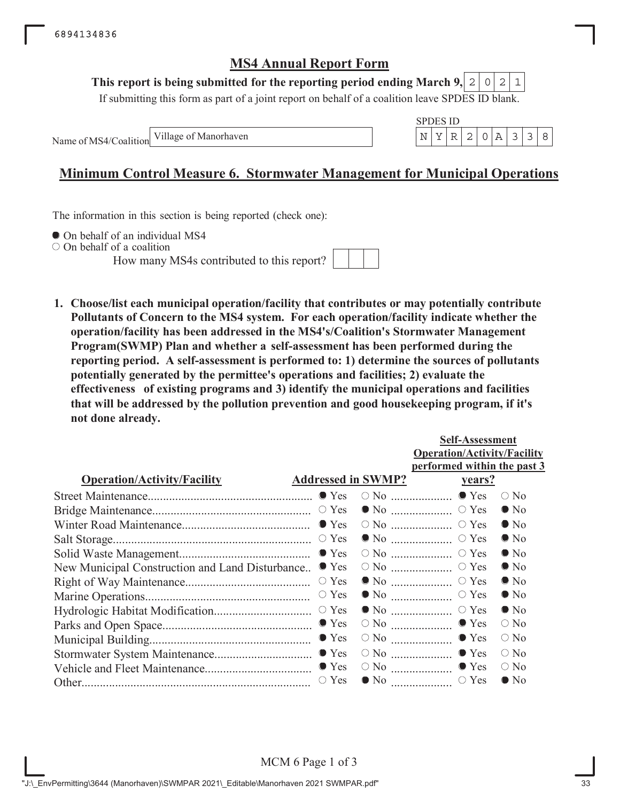## This report is being submitted for the reporting period ending March 9,  $\mid 2 \mid 0 \mid 2 \mid 1$

If submitting this form as part of a joint report on behalf of a coalition leave SPDES ID blank.

Name of MS4/Coalition

SPDES ID Village of Manorhaven  $\vert N \vert Y \vert R \vert 2 \vert 0 \vert A \vert 3 \vert 3 \vert 8$ 

# **Minimum Control Measure 6. Stormwater Management for Municipal Operations**

The information in this section is being reported (check one):

 $\bullet$  On behalf of an individual MS4

 $\circ$  On behalf of a coalition

How many MS4s contributed to this report?



**1. Choose/list each municipal operation/facility that contributes or may potentially contribute Pollutants of Concern to the MS4 system. For each operation/facility indicate whether the operation/facility has been addressed in the MS4's/Coalition's Stormwater Management Program(SWMP) Plan and whether a self-assessment has been performed during the reporting period. A self-assessment is performed to: 1) determine the sources of pollutants potentially generated by the permittee's operations and facilities; 2) evaluate the effectiveness of existing programs and 3) identify the municipal operations and facilities that will be addressed by the pollution prevention and good housekeeping program, if it's not done already.**

|                                                 |                           |                                                | <b>Self-Assessment</b>             |               |
|-------------------------------------------------|---------------------------|------------------------------------------------|------------------------------------|---------------|
|                                                 |                           |                                                | <b>Operation/Activity/Facility</b> |               |
|                                                 |                           |                                                | performed within the past 3        |               |
| <b>Operation/Activity/Facility</b>              | <b>Addressed in SWMP?</b> |                                                | <u>years?</u>                      |               |
|                                                 |                           |                                                |                                    | $\bigcirc$ No |
|                                                 |                           |                                                |                                    | $\bullet$ No  |
|                                                 |                           |                                                |                                    | $\bullet$ No  |
|                                                 |                           |                                                |                                    | $\bullet$ No  |
|                                                 |                           |                                                |                                    | $\bullet$ No  |
| New Municipal Construction and Land Disturbance | $\bullet$ Yes             |                                                |                                    | $\bullet$ No  |
|                                                 | $\circ$ Yes               |                                                | $\bullet$ No $\ldots$ $\circ$ Yes  | $\bullet$ No  |
|                                                 |                           |                                                | $\bullet$ No $\ldots$ $\circ$ Yes  | $\bullet$ No  |
|                                                 |                           |                                                |                                    | $\bullet$ No  |
|                                                 |                           |                                                | $\circ$ No $\ldots$ $\bullet$ Yes  | $\bigcirc$ No |
|                                                 |                           | $\circ$ No $\ldots$ $\ldots$ $\ldots$ $\ldots$ | $\bullet$ Yes                      | $\circ$ No    |
|                                                 |                           |                                                | $\circ$ No $\ldots$ $\bullet$ Yes  | $\bigcirc$ No |
|                                                 |                           |                                                |                                    | $\bigcirc$ No |
|                                                 |                           |                                                |                                    | $\bullet$ No  |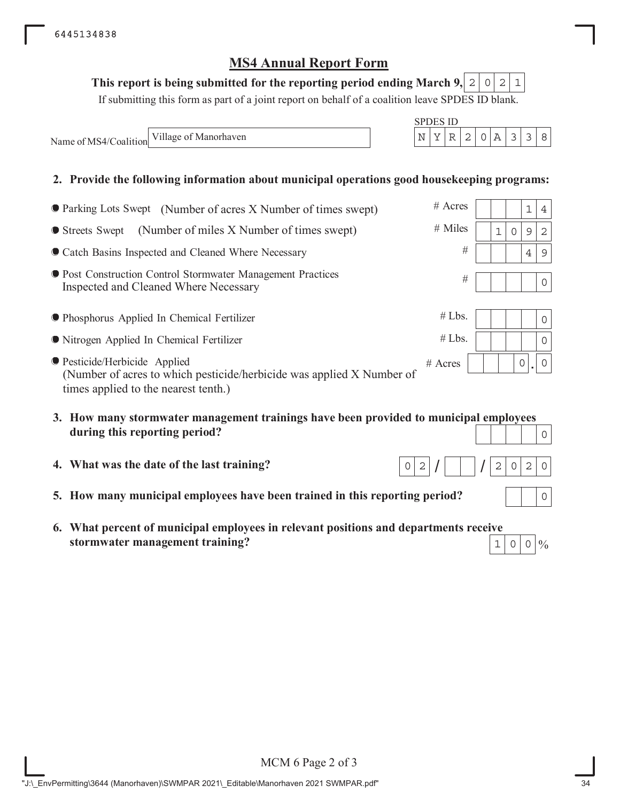## This report is being submitted for the reporting period ending March 9,  $\mid$  2  $\mid$  0  $\mid$  2  $\mid$  1

If submitting this form as part of a joint report on behalf of a coalition leave SPDES ID blank.

SPDES ID

 $/$   $/$   $/$ 

 $0|2|/$  | |  $|/2|0|2|0$ 

Name of MS4/Coalition Village of Manorhaven  $N = \begin{bmatrix} N & Y & R & 2 & 0 & A & 3 & 3 & 8 \end{bmatrix}$ 

## **2. Provide the following information about municipal operations good housekeeping programs:**

| ● Parking Lots Swept (Number of acres X Number of times swept)                                                                                 | $#$ Acres |             |   | $1\,$         | 4              |
|------------------------------------------------------------------------------------------------------------------------------------------------|-----------|-------------|---|---------------|----------------|
| (Number of miles X Number of times swept)<br>● Streets Swept                                                                                   | $#$ Miles | $\mathbf 1$ | 0 | $\mathcal{G}$ | $\overline{2}$ |
| Catch Basins Inspected and Cleaned Where Necessary                                                                                             | $\#$      |             |   | 4             | $\overline{9}$ |
| ● Post Construction Control Stormwater Management Practices<br>Inspected and Cleaned Where Necessary                                           | #         |             |   |               | $\Omega$       |
| ● Phosphorus Applied In Chemical Fertilizer                                                                                                    | #Lbs.     |             |   |               | 0              |
| • Nitrogen Applied In Chemical Fertilizer                                                                                                      | #Lbs.     |             |   |               | 0              |
| ● Pesticide/Herbicide Applied<br>(Number of acres to which pesticide/herbicide was applied X Number of<br>times applied to the nearest tenth.) | $#$ Acres |             | 0 |               | 0              |
| 3. How many stormwater management trainings have been provided to municipal employees<br>during this reporting period?                         |           |             |   |               | O              |

- **4. What was the date of the last training?**
- **5. How many municipal employees have been trained in this reporting period?**
- **6. What percent of municipal employees in relevant positions and departments receive stormwater management training?**  $1|0|0$

 $\frac{0}{0}$ 

0